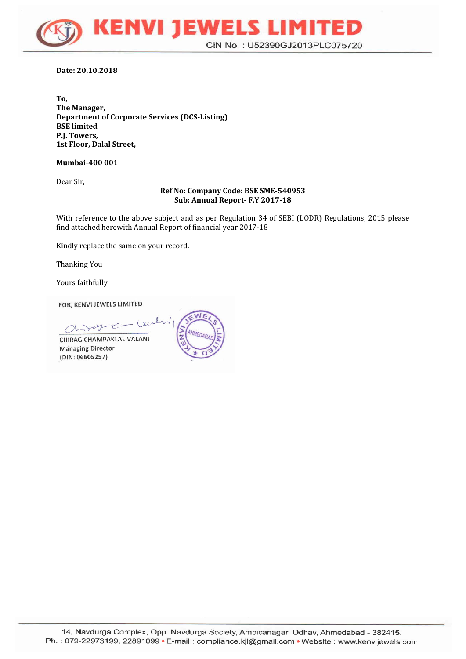#### **Date: 20.10.2018**

**To, The Manager, Department of Corporate Services (DCS‐Listing) BSE limited P.J. Towers, 1st Floor, Dalal Street,**

**Mumbai‐400 001**

Dear Sir,

#### **Ref No: Company Code: BSE SME‐540953 Sub: Annual Report‐ F.Y 2017‐18**

With reference to the above subject and as per Regulation 34 of SEBI (LODR) Regulations, 2015 please find attached herewith Annual Report of financial year 2017-18

Kindly replace the same on your record.

Thanking You

Yours faithfully

FOR, KENVI JEWELS LIMITED

- Caul  $C$ 

**CHIRAG CHAMPAKLAL VALANI Managing Director**  $(DIN: 06605257)$ 

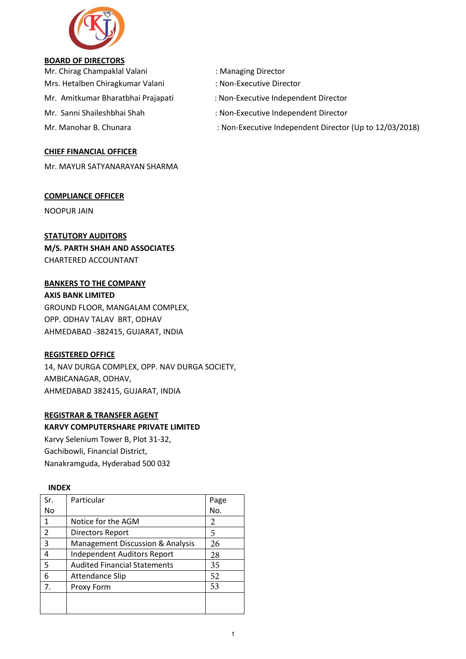

## **BOARD OF DIRECTORS**

Mr. Chirag Champaklal Valani : Managing Director Mrs. Hetalben Chiragkumar Valani : Non-Executive Director

## **CHIEF FINANCIAL OFFICER**

Mr. MAYUR SATYANARAYAN SHARMA

#### **COMPLIANCE OFFICER**

NOOPUR JAIN

## **STATUTORY AUDITORS**

**M/S. PARTH SHAH AND ASSOCIATES** CHARTERED ACCOUNTANT

#### **BANKERS TO THE COMPANY**

#### **AXIS BANK LIMITED**

GROUND FLOOR, MANGALAM COMPLEX, OPP. ODHAV TALAV BRT, ODHAV AHMEDABAD -382415, GUJARAT, INDIA

#### **REGISTERED OFFICE**

14, NAV DURGA COMPLEX, OPP. NAV DURGA SOCIETY, AMBICANAGAR, ODHAV, AHMEDABAD 382415, GUJARAT, INDIA

#### **REGISTRAR & TRANSFER AGENT**

# **KARVY COMPUTERSHARE PRIVATE LIMITED**

Karvy Selenium Tower B, Plot 31-32, Gachibowli, Financial District, Nanakramguda, Hyderabad 500 032

#### **INDEX**

| Sr.            | Particular                          | Page |
|----------------|-------------------------------------|------|
| No             |                                     | No.  |
| 1              | Notice for the AGM                  | 2    |
| $\overline{2}$ | Directors Report                    | 5    |
| 3              | Management Discussion & Analysis    | 26   |
| 4              | <b>Independent Auditors Report</b>  | 28   |
| 5              | <b>Audited Financial Statements</b> | 35   |
| 6              | <b>Attendance Slip</b>              | 52   |
| 7.             | Proxy Form                          | 53   |
|                |                                     |      |
|                |                                     |      |

- 
- 
- Mr. Amitkumar Bharatbhai Prajapati : Non-Executive Independent Director
- Mr. Sanni Shaileshbhai Shah : Non-Executive Independent Director
- Mr. Manohar B. Chunara : Non-Executive Independent Director (Up to 12/03/2018)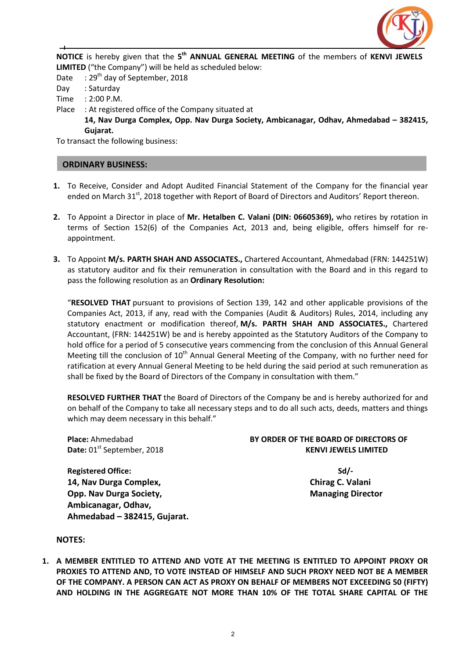

**NOTICE** is hereby given that the **5th ANNUAL GENERAL MEETING** of the members of **KENVI JEWELS LIMITED** ("the Company") will be held as scheduled below:

Date  $: 29^{th}$  day of September, 2018

Day : Saturday

Time : 2:00 P.M.

Place : At registered office of the Company situated at

**14, Nav Durga Complex, Opp. Nav Durga Society, Ambicanagar, Odhav, Ahmedabad – 382415, Gujarat.**

To transact the following business:

## **ORDINARY BUSINESS:**

- **1.** To Receive, Consider and Adopt Audited Financial Statement of the Company for the financial year ended on March 31<sup>st</sup>, 2018 together with Report of Board of Directors and Auditors' Report thereon.
- **2.** To Appoint a Director in place of **Mr. Hetalben C. Valani (DIN: 06605369),** who retires by rotation in terms of Section 152(6) of the Companies Act, 2013 and, being eligible, offers himself for reappointment.
- **3.** To Appoint **M/s. PARTH SHAH AND ASSOCIATES.,** Chartered Accountant, Ahmedabad (FRN: 144251W) as statutory auditor and fix their remuneration in consultation with the Board and in this regard to pass the following resolution as an **Ordinary Resolution:**

"**RESOLVED THAT** pursuant to provisions of Section 139, 142 and other applicable provisions of the Companies Act, 2013, if any, read with the Companies (Audit & Auditors) Rules, 2014, including any statutory enactment or modification thereof, **M/s. PARTH SHAH AND ASSOCIATES.,** Chartered Accountant, (FRN: 144251W) be and is hereby appointed as the Statutory Auditors of the Company to hold office for a period of 5 consecutive years commencing from the conclusion of this Annual General Meeting till the conclusion of 10<sup>th</sup> Annual General Meeting of the Company, with no further need for ratification at every Annual General Meeting to be held during the said period at such remuneration as shall be fixed by the Board of Directors of the Company in consultation with them."

**RESOLVED FURTHER THAT** the Board of Directors of the Company be and is hereby authorized for and on behalf of the Company to take all necessary steps and to do all such acts, deeds, matters and things which may deem necessary in this behalf."

# **Place:** Ahmedabad **BY ORDER OF THE BOARD OF DIRECTORS OF Date:**  $01^{st}$  September, 2018 **KENVI JEWELS LIMITED**

**Registered Office: Sd/- 14, Nav Durga Complex, Chirag C. Valani Opp. Nav Durga Society, Managing Director Ambicanagar, Odhav, Ahmedabad – 382415, Gujarat.**

#### **NOTES:**

**1. A MEMBER ENTITLED TO ATTEND AND VOTE AT THE MEETING IS ENTITLED TO APPOINT PROXY OR PROXIES TO ATTEND AND, TO VOTE INSTEAD OF HIMSELF AND SUCH PROXY NEED NOT BE A MEMBER OF THE COMPANY. A PERSON CAN ACT AS PROXY ON BEHALF OF MEMBERS NOT EXCEEDING 50 (FIFTY) AND HOLDING IN THE AGGREGATE NOT MORE THAN 10% OF THE TOTAL SHARE CAPITAL OF THE**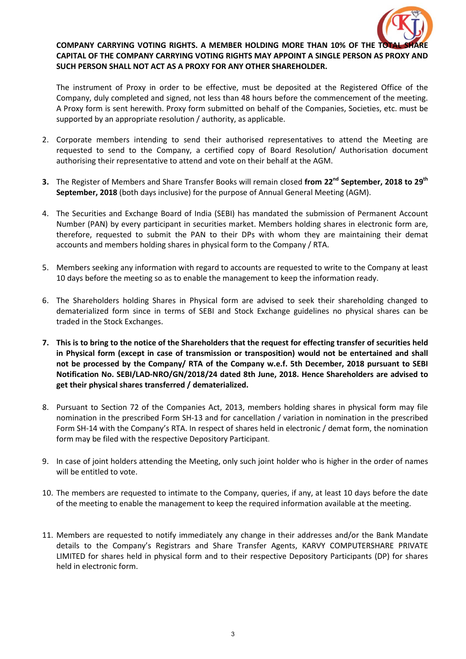

# **COMPANY CARRYING VOTING RIGHTS. A MEMBER HOLDING MORE THAN 10% OF THE TO CAPITAL OF THE COMPANY CARRYING VOTING RIGHTS MAY APPOINT A SINGLE PERSON AS PROXY AND SUCH PERSON SHALL NOT ACT AS A PROXY FOR ANY OTHER SHAREHOLDER.**

The instrument of Proxy in order to be effective, must be deposited at the Registered Office of the Company, duly completed and signed, not less than 48 hours before the commencement of the meeting. A Proxy form is sent herewith. Proxy form submitted on behalf of the Companies, Societies, etc. must be supported by an appropriate resolution / authority, as applicable.

- 2. Corporate members intending to send their authorised representatives to attend the Meeting are requested to send to the Company, a certified copy of Board Resolution/ Authorisation document authorising their representative to attend and vote on their behalf at the AGM.
- **3.** The Register of Members and Share Transfer Books will remain closed **from 22nd September, 2018 to 29th September, 2018** (both days inclusive) for the purpose of Annual General Meeting (AGM).
- 4. The Securities and Exchange Board of India (SEBI) has mandated the submission of Permanent Account Number (PAN) by every participant in securities market. Members holding shares in electronic form are, therefore, requested to submit the PAN to their DPs with whom they are maintaining their demat accounts and members holding shares in physical form to the Company / RTA.
- 5. Members seeking any information with regard to accounts are requested to write to the Company at least 10 days before the meeting so as to enable the management to keep the information ready.
- 6. The Shareholders holding Shares in Physical form are advised to seek their shareholding changed to dematerialized form since in terms of SEBI and Stock Exchange guidelines no physical shares can be traded in the Stock Exchanges.
- **7. This is to bring to the notice of the Shareholders that the request for effecting transfer of securities held in Physical form (except in case of transmission or transposition) would not be entertained and shall not be processed by the Company/ RTA of the Company w.e.f. 5th December, 2018 pursuant to SEBI Notification No. SEBI/LAD-NRO/GN/2018/24 dated 8th June, 2018. Hence Shareholders are advised to get their physical shares transferred / dematerialized.**
- 8. Pursuant to Section 72 of the Companies Act, 2013, members holding shares in physical form may file nomination in the prescribed Form SH-13 and for cancellation / variation in nomination in the prescribed Form SH-14 with the Company's RTA. In respect of shares held in electronic / demat form, the nomination form may be filed with the respective Depository Participant.
- 9. In case of joint holders attending the Meeting, only such joint holder who is higher in the order of names will be entitled to vote.
- 10. The members are requested to intimate to the Company, queries, if any, at least 10 days before the date of the meeting to enable the management to keep the required information available at the meeting.
- 11. Members are requested to notify immediately any change in their addresses and/or the Bank Mandate details to the Company's Registrars and Share Transfer Agents, KARVY COMPUTERSHARE PRIVATE LIMITED for shares held in physical form and to their respective Depository Participants (DP) for shares held in electronic form.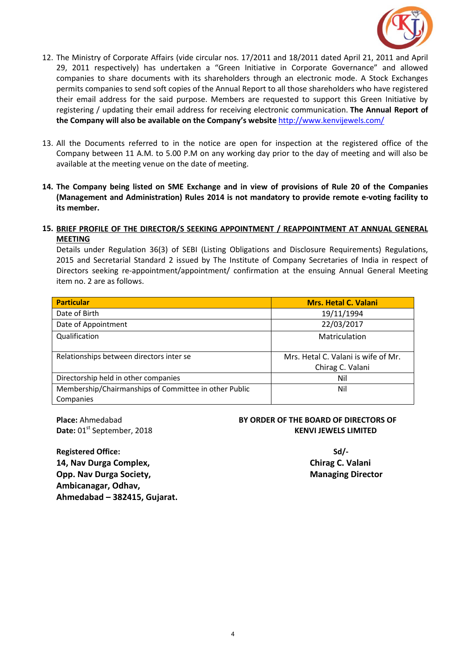

- 12. The Ministry of Corporate Affairs (vide circular nos. 17/2011 and 18/2011 dated April 21, 2011 and April 29, 2011 respectively) has undertaken a "Green Initiative in Corporate Governance" and allowed companies to share documents with its shareholders through an electronic mode. A Stock Exchanges permits companies to send soft copies of the Annual Report to all those shareholders who have registered their email address for the said purpose. Members are requested to support this Green Initiative by registering / updating their email address for receiving electronic communication. **The Annual Report of the Company will also be available on the Company's website** <http://www.kenvijewels.com/>
- 13. All the Documents referred to in the notice are open for inspection at the registered office of the Company between 11 A.M. to 5.00 P.M on any working day prior to the day of meeting and will also be available at the meeting venue on the date of meeting.
- **14. The Company being listed on SME Exchange and in view of provisions of Rule 20 of the Companies (Management and Administration) Rules 2014 is not mandatory to provide remote e-voting facility to its member.**

#### **15. BRIEF PROFILE OF THE DIRECTOR/S SEEKING APPOINTMENT / REAPPOINTMENT AT ANNUAL GENERAL MEETING**

Details under Regulation 36(3) of SEBI (Listing Obligations and Disclosure Requirements) Regulations, 2015 and Secretarial Standard 2 issued by The Institute of Company Secretaries of India in respect of Directors seeking re-appointment/appointment/ confirmation at the ensuing Annual General Meeting item no. 2 are as follows.

| <b>Particular</b>                                                  | <b>Mrs. Hetal C. Valani</b>                             |
|--------------------------------------------------------------------|---------------------------------------------------------|
| Date of Birth                                                      | 19/11/1994                                              |
| Date of Appointment                                                | 22/03/2017                                              |
| Qualification                                                      | Matriculation                                           |
| Relationships between directors inter se                           | Mrs. Hetal C. Valani is wife of Mr.<br>Chirag C. Valani |
| Directorship held in other companies                               | Nil                                                     |
| Membership/Chairmanships of Committee in other Public<br>Companies | Nil                                                     |

## **Place:** Ahmedabad **BY ORDER OF THE BOARD OF DIRECTORS OF Date:**  $01^{st}$  September, 2018 **KENVI JEWELS LIMITED**

**Registered Office:** Solution of the state of the state of the state of the state of the state of the state of the state of the state of the state of the state of the state of the state of the state of the state of the sta **14, Nav Durga Complex, Chirag C. Valani Opp. Nav Durga Society, Naviolation Community Community Community Community Community Community Community Community Community Community Community Community Community Community Community Community Community Community Commu Ambicanagar, Odhav, Ahmedabad – 382415, Gujarat.**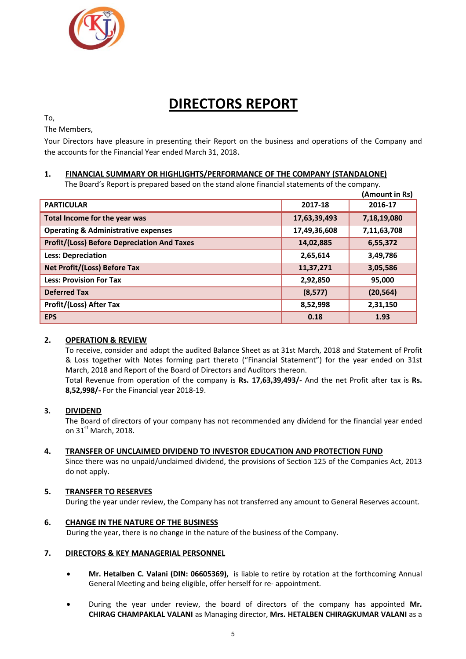

# **DIRECTORS REPORT**

To,

The Members,

Your Directors have pleasure in presenting their Report on the business and operations of the Company and the accounts for the Financial Year ended March 31, 2018.

# **1. FINANCIAL SUMMARY OR HIGHLIGHTS/PERFORMANCE OF THE COMPANY (STANDALONE)**

The Board's Report is prepared based on the stand alone financial statements of the company.

|                                                    |              | (Amount in Rs) |
|----------------------------------------------------|--------------|----------------|
| <b>PARTICULAR</b>                                  | 2017-18      | 2016-17        |
| Total Income for the year was                      | 17,63,39,493 | 7,18,19,080    |
| <b>Operating &amp; Administrative expenses</b>     | 17,49,36,608 | 7,11,63,708    |
| <b>Profit/(Loss) Before Depreciation And Taxes</b> | 14,02,885    | 6,55,372       |
| <b>Less: Depreciation</b>                          | 2,65,614     | 3,49,786       |
| Net Profit/(Loss) Before Tax                       | 11,37,271    | 3,05,586       |
| <b>Less: Provision For Tax</b>                     | 2,92,850     | 95,000         |
| <b>Deferred Tax</b>                                | (8, 577)     | (20, 564)      |
| <b>Profit/(Loss) After Tax</b>                     | 8,52,998     | 2,31,150       |
| <b>EPS</b>                                         | 0.18         | 1.93           |

# **2. OPERATION & REVIEW**

To receive, consider and adopt the audited Balance Sheet as at 31st March, 2018 and Statement of Profit & Loss together with Notes forming part thereto ("Financial Statement") for the year ended on 31st March, 2018 and Report of the Board of Directors and Auditors thereon.

Total Revenue from operation of the company is **Rs. 17,63,39,493/-** And the net Profit after tax is **Rs. 8,52,998/-** For the Financial year 2018-19.

#### **3. DIVIDEND**

The Board of directors of your company has not recommended any dividend for the financial year ended on  $31<sup>st</sup>$  March, 2018.

# **4. TRANSFER OF UNCLAIMED DIVIDEND TO INVESTOR EDUCATION AND PROTECTION FUND**

Since there was no unpaid/unclaimed dividend, the provisions of Section 125 of the Companies Act, 2013 do not apply.

# **5. TRANSFER TO RESERVES**

During the year under review, the Company has not transferred any amount to General Reserves account.

# **6. CHANGE IN THE NATURE OF THE BUSINESS**

During the year, there is no change in the nature of the business of the Company.

#### **7. DIRECTORS & KEY MANAGERIAL PERSONNEL**

- **Mr. Hetalben C. Valani (DIN: 06605369),** is liable to retire by rotation at the forthcoming Annual General Meeting and being eligible, offer herself for re- appointment.
- During the year under review, the board of directors of the company has appointed **Mr. CHIRAG CHAMPAKLAL VALANI** as Managing director, **Mrs. HETALBEN CHIRAGKUMAR VALANI** as a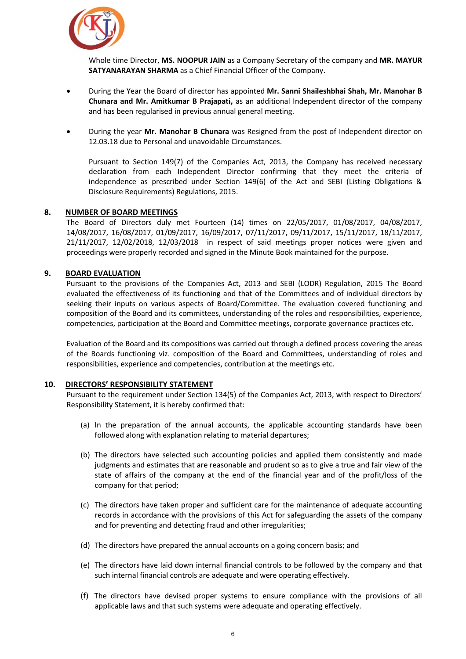

Whole time Director, **MS. NOOPUR JAIN** as a Company Secretary of the company and **MR. MAYUR SATYANARAYAN SHARMA** as a Chief Financial Officer of the Company.

- During the Year the Board of director has appointed **Mr. Sanni Shaileshbhai Shah, Mr. Manohar B Chunara and Mr. Amitkumar B Prajapati,** as an additional Independent director of the company and has been regularised in previous annual general meeting.
- During the year **Mr. Manohar B Chunara** was Resigned from the post of Independent director on 12.03.18 due to Personal and unavoidable Circumstances.

Pursuant to Section 149(7) of the Companies Act, 2013, the Company has received necessary declaration from each Independent Director confirming that they meet the criteria of independence as prescribed under Section 149(6) of the Act and SEBI (Listing Obligations & Disclosure Requirements) Regulations, 2015.

#### **8. NUMBER OF BOARD MEETINGS**

The Board of Directors duly met Fourteen (14) times on 22/05/2017, 01/08/2017, 04/08/2017, 14/08/2017, 16/08/2017, 01/09/2017, 16/09/2017, 07/11/2017, 09/11/2017, 15/11/2017, 18/11/2017, 21/11/2017, 12/02/2018, 12/03/2018 in respect of said meetings proper notices were given and proceedings were properly recorded and signed in the Minute Book maintained for the purpose.

#### **9. BOARD EVALUATION**

Pursuant to the provisions of the Companies Act, 2013 and SEBI (LODR) Regulation, 2015 The Board evaluated the effectiveness of its functioning and that of the Committees and of individual directors by seeking their inputs on various aspects of Board/Committee. The evaluation covered functioning and composition of the Board and its committees, understanding of the roles and responsibilities, experience, competencies, participation at the Board and Committee meetings, corporate governance practices etc.

Evaluation of the Board and its compositions was carried out through a defined process covering the areas of the Boards functioning viz. composition of the Board and Committees, understanding of roles and responsibilities, experience and competencies, contribution at the meetings etc.

#### **10. DIRECTORS' RESPONSIBILITY STATEMENT**

Pursuant to the requirement under Section 134(5) of the Companies Act, 2013, with respect to Directors' Responsibility Statement, it is hereby confirmed that:

- (a) In the preparation of the annual accounts, the applicable accounting standards have been followed along with explanation relating to material departures;
- (b) The directors have selected such accounting policies and applied them consistently and made judgments and estimates that are reasonable and prudent so as to give a true and fair view of the state of affairs of the company at the end of the financial year and of the profit/loss of the company for that period;
- (c) The directors have taken proper and sufficient care for the maintenance of adequate accounting records in accordance with the provisions of this Act for safeguarding the assets of the company and for preventing and detecting fraud and other irregularities;
- (d) The directors have prepared the annual accounts on a going concern basis; and
- (e) The directors have laid down internal financial controls to be followed by the company and that such internal financial controls are adequate and were operating effectively.
- (f) The directors have devised proper systems to ensure compliance with the provisions of all applicable laws and that such systems were adequate and operating effectively.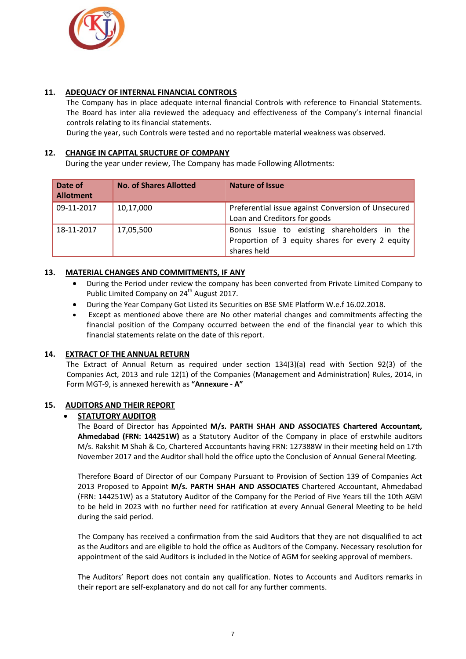

# **11. ADEQUACY OF INTERNAL FINANCIAL CONTROLS**

The Company has in place adequate internal financial Controls with reference to Financial Statements. The Board has inter alia reviewed the adequacy and effectiveness of the Company's internal financial controls relating to its financial statements.

During the year, such Controls were tested and no reportable material weakness was observed.

#### **12. CHANGE IN CAPITAL SRUCTURE OF COMPANY**

During the year under review, The Company has made Following Allotments:

| Date of<br><b>Allotment</b> | <b>No. of Shares Allotted</b> | <b>Nature of Issue</b>                                                                                         |
|-----------------------------|-------------------------------|----------------------------------------------------------------------------------------------------------------|
| 09-11-2017                  | 10,17,000                     | Preferential issue against Conversion of Unsecured<br>Loan and Creditors for goods                             |
| 18-11-2017                  | 17,05,500                     | Bonus Issue to existing shareholders in the<br>Proportion of 3 equity shares for every 2 equity<br>shares held |

# **13. MATERIAL CHANGES AND COMMITMENTS, IF ANY**

- During the Period under review the company has been converted from Private Limited Company to Public Limited Company on 24<sup>th</sup> August 2017.
- During the Year Company Got Listed its Securities on BSE SME Platform W.e.f 16.02.2018.
- Except as mentioned above there are No other material changes and commitments affecting the financial position of the Company occurred between the end of the financial year to which this financial statements relate on the date of this report.

#### **14. EXTRACT OF THE ANNUAL RETURN**

The Extract of Annual Return as required under section 134(3)(a) read with Section 92(3) of the Companies Act, 2013 and rule 12(1) of the Companies (Management and Administration) Rules, 2014, in Form MGT-9, is annexed herewith as **"Annexure - A"**

#### **15. AUDITORS AND THEIR REPORT**

# • **STATUTORY AUDITOR**

The Board of Director has Appointed **M/s. PARTH SHAH AND ASSOCIATES Chartered Accountant, Ahmedabad (FRN: 144251W)** as a Statutory Auditor of the Company in place of erstwhile auditors M/s. Rakshit M Shah & Co, Chartered Accountants having FRN: 127388W in their meeting held on 17th November 2017 and the Auditor shall hold the office upto the Conclusion of Annual General Meeting.

Therefore Board of Director of our Company Pursuant to Provision of Section 139 of Companies Act 2013 Proposed to Appoint **M/s. PARTH SHAH AND ASSOCIATES** Chartered Accountant, Ahmedabad (FRN: 144251W) as a Statutory Auditor of the Company for the Period of Five Years till the 10th AGM to be held in 2023 with no further need for ratification at every Annual General Meeting to be held during the said period.

The Company has received a confirmation from the said Auditors that they are not disqualified to act as the Auditors and are eligible to hold the office as Auditors of the Company. Necessary resolution for appointment of the said Auditors is included in the Notice of AGM for seeking approval of members.

The Auditors' Report does not contain any qualification. Notes to Accounts and Auditors remarks in their report are self-explanatory and do not call for any further comments.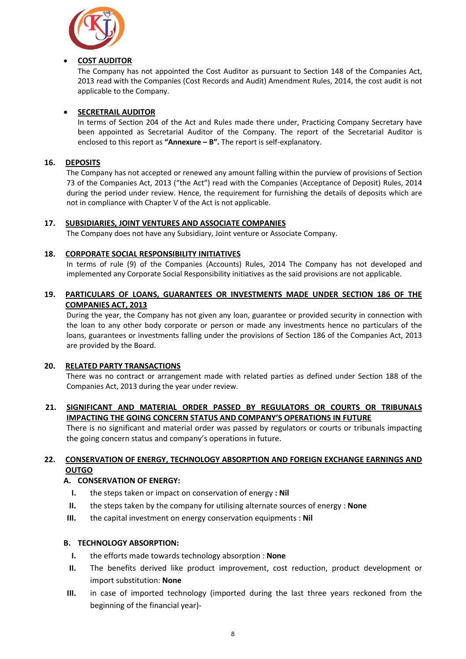

## • **COST AUDITOR**

The Company has not appointed the Cost Auditor as pursuant to Section 148 of the Companies Act, 2013 read with the Companies (Cost Records and Audit) Amendment Rules, 2014, the cost audit is not applicable to the Company.

# • **SECRETRAIL AUDITOR**

In terms of Section 204 of the Act and Rules made there under, Practicing Company Secretary have been appointed as Secretarial Auditor of the Company. The report of the Secretarial Auditor is enclosed to this report as **"Annexure – B".** The report is self-explanatory.

#### **16. DEPOSITS**

The Company has not accepted or renewed any amount falling within the purview of provisions of Section 73 of the Companies Act, 2013 ("the Act") read with the Companies (Acceptance of Deposit) Rules, 2014 during the period under review. Hence, the requirement for furnishing the details of deposits which are not in compliance with Chapter V of the Act is not applicable.

## **17. SUBSIDIARIES, JOINT VENTURES AND ASSOCIATE COMPANIES**

The Company does not have any Subsidiary, Joint venture or Associate Company.

## **18. CORPORATE SOCIAL RESPONSIBILITY INITIATIVES**

In terms of rule (9) of the Companies (Accounts) Rules, 2014 The Company has not developed and implemented any Corporate Social Responsibility initiatives as the said provisions are not applicable.

#### **19. PARTICULARS OF LOANS, GUARANTEES OR INVESTMENTS MADE UNDER SECTION 186 OF THE COMPANIES ACT, 2013**

During the year, the Company has not given any loan, guarantee or provided security in connection with the loan to any other body corporate or person or made any investments hence no particulars of the loans, guarantees or investments falling under the provisions of Section 186 of the Companies Act, 2013 are provided by the Board.

#### **20. RELATED PARTY TRANSACTIONS**

There was no contract or arrangement made with related parties as defined under Section 188 of the Companies Act, 2013 during the year under review.

## **21. SIGNIFICANT AND MATERIAL ORDER PASSED BY REGULATORS OR COURTS OR TRIBUNALS IMPACTING THE GOING CONCERN STATUS AND COMPANY'S OPERATIONS IN FUTURE**

There is no significant and material order was passed by regulators or courts or tribunals impacting the going concern status and company's operations in future.

# **22. CONSERVATION OF ENERGY, TECHNOLOGY ABSORPTION AND FOREIGN EXCHANGE EARNINGS AND OUTGO**

#### **A. CONSERVATION OF ENERGY:**

- **I.** the steps taken or impact on conservation of energy **: Nil**
- **II.** the steps taken by the company for utilising alternate sources of energy : **None**
- **III.** the capital investment on energy conservation equipments : **Nil**

#### **B. TECHNOLOGY ABSORPTION:**

- **I.** the efforts made towards technology absorption : **None**
- **II.** The benefits derived like product improvement, cost reduction, product development or import substitution: **None**
- **III.** in case of imported technology (imported during the last three years reckoned from the beginning of the financial year)-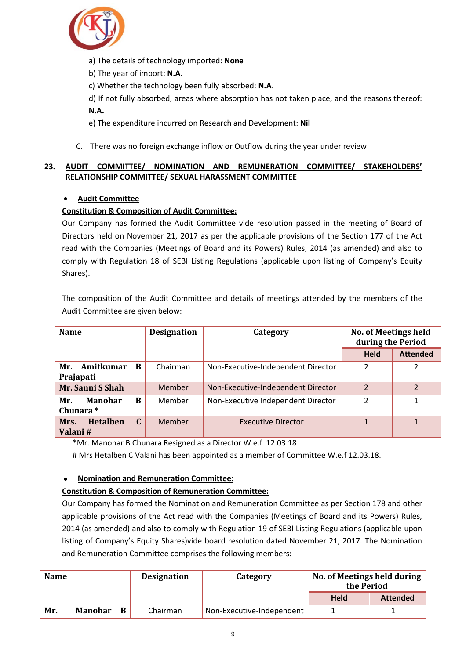

- a) The details of technology imported: **None**
- b) The year of import: **N.A**.
- c) Whether the technology been fully absorbed: **N.A**.
- d) If not fully absorbed, areas where absorption has not taken place, and the reasons thereof: **N.A.**
- e) The expenditure incurred on Research and Development: **Nil**
- C. There was no foreign exchange inflow or Outflow during the year under review

# **23. AUDIT COMMITTEE/ NOMINATION AND REMUNERATION COMMITTEE/ STAKEHOLDERS' RELATIONSHIP COMMITTEE/ SEXUAL HARASSMENT COMMITTEE**

# • **Audit Committee**

# **Constitution & Composition of Audit Committee:**

Our Company has formed the Audit Committee vide resolution passed in the meeting of Board of Directors held on November 21, 2017 as per the applicable provisions of the Section 177 of the Act read with the Companies (Meetings of Board and its Powers) Rules, 2014 (as amended) and also to comply with Regulation 18 of SEBI Listing Regulations (applicable upon listing of Company's Equity Shares).

The composition of the Audit Committee and details of meetings attended by the members of the Audit Committee are given below:

| <b>Name</b>                        |              | <b>Designation</b> | Category                           | <b>No. of Meetings held</b><br>during the Period |                 |
|------------------------------------|--------------|--------------------|------------------------------------|--------------------------------------------------|-----------------|
|                                    |              |                    |                                    | <b>Held</b>                                      | <b>Attended</b> |
| Mr. Amitkumar<br>Prajapati         | B            | Chairman           | Non-Executive-Independent Director | 2                                                |                 |
| Mr. Sanni S Shah                   |              | Member             | Non-Executive-Independent Director | $\overline{2}$                                   |                 |
| <b>Manohar</b><br>Mr.<br>Chunara * | B            | Member             | Non-Executive Independent Director | 2                                                |                 |
| <b>Hetalben</b><br>Mrs.<br>Valani# | $\mathbf{C}$ | Member             | <b>Executive Director</b>          | 1                                                | 1               |

\*Mr. Manohar B Chunara Resigned as a Director W.e.f 12.03.18

# Mrs Hetalben C Valani has been appointed as a member of Committee W.e.f 12.03.18.

# • **Nomination and Remuneration Committee:**

# **Constitution & Composition of Remuneration Committee:**

Our Company has formed the Nomination and Remuneration Committee as per Section 178 and other applicable provisions of the Act read with the Companies (Meetings of Board and its Powers) Rules, 2014 (as amended) and also to comply with Regulation 19 of SEBI Listing Regulations (applicable upon listing of Company's Equity Shares)vide board resolution dated November 21, 2017. The Nomination and Remuneration Committee comprises the following members:

| <b>Name</b> |                | <b>Designation</b> | Category | No. of Meetings held during<br>the Period |             |                 |
|-------------|----------------|--------------------|----------|-------------------------------------------|-------------|-----------------|
|             |                |                    |          |                                           | <b>Held</b> | <b>Attended</b> |
| Mr.         | <b>Manohar</b> | B                  | Chairman | Non-Executive-Independent                 |             |                 |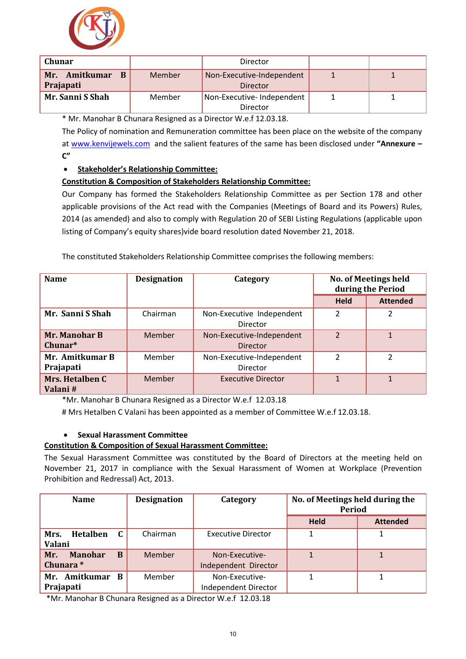

| Chunar                                            |        | Director                                     |  |
|---------------------------------------------------|--------|----------------------------------------------|--|
| Mr. Amitkumar<br><sub>B</sub><br><b>Prajapati</b> | Member | Non-Executive-Independent<br><b>Director</b> |  |
| Mr. Sanni S Shah                                  | Member | <b>Non-Executive-Independent</b><br>Director |  |

\* Mr. Manohar B Chunara Resigned as a Director W.e.f 12.03.18.

The Policy of nomination and Remuneration committee has been place on the website of the company at [www.kenvijewels.com](http://www.kenvijewels.com/) and the salient features of the same has been disclosed under **"Annexure – C"**

# • **Stakeholder's Relationship Committee:**

# **Constitution & Composition of Stakeholders Relationship Committee:**

Our Company has formed the Stakeholders Relationship Committee as per Section 178 and other applicable provisions of the Act read with the Companies (Meetings of Board and its Powers) Rules, 2014 (as amended) and also to comply with Regulation 20 of SEBI Listing Regulations (applicable upon listing of Company's equity shares)vide board resolution dated November 21, 2018.

| <b>Name</b>                  | <b>Designation</b> | Category                              | <b>No. of Meetings held</b><br>during the Period |                 |
|------------------------------|--------------------|---------------------------------------|--------------------------------------------------|-----------------|
|                              |                    |                                       | <b>Held</b>                                      | <b>Attended</b> |
| Mr. Sanni S Shah             | Chairman           | Non-Executive Independent<br>Director | 2                                                | 2               |
| Mr. Manohar B<br>$Chunar*$   | Member             | Non-Executive-Independent<br>Director | $\mathcal{P}$                                    |                 |
| Mr. Amitkumar B<br>Prajapati | Member             | Non-Executive-Independent<br>Director | $\mathfrak z$                                    | 2               |
| Mrs. Hetalben C<br>Valani#   | Member             | <b>Executive Director</b>             | $\mathbf{1}$                                     |                 |

The constituted Stakeholders Relationship Committee comprises the following members:

\*Mr. Manohar B Chunara Resigned as a Director W.e.f 12.03.18

# Mrs Hetalben C Valani has been appointed as a member of Committee W.e.f 12.03.18.

#### • **Sexual Harassment Committee**

# **Constitution & Composition of Sexual Harassment Committee:**

The Sexual Harassment Committee was constituted by the Board of Directors at the meeting held on November 21, 2017 in compliance with the Sexual Harassment of Women at Workplace (Prevention Prohibition and Redressal) Act, 2013.

| <b>Name</b>                          | <b>Designation</b> | Category                               | No. of Meetings held during the<br>Period |                 |
|--------------------------------------|--------------------|----------------------------------------|-------------------------------------------|-----------------|
|                                      |                    |                                        | <b>Held</b>                               | <b>Attended</b> |
| Hetalben<br>Mrs.<br>Valani           | C<br>Chairman      | <b>Executive Director</b>              |                                           |                 |
| <b>Manohar</b><br>Mr.<br>Chunara $*$ | Member<br>B        | Non-Executive-<br>Independent Director |                                           |                 |
| Mr. Amitkumar B<br>Prajapati         | Member             | Non-Executive-<br>Independent Director |                                           |                 |

\*Mr. Manohar B Chunara Resigned as a Director W.e.f 12.03.18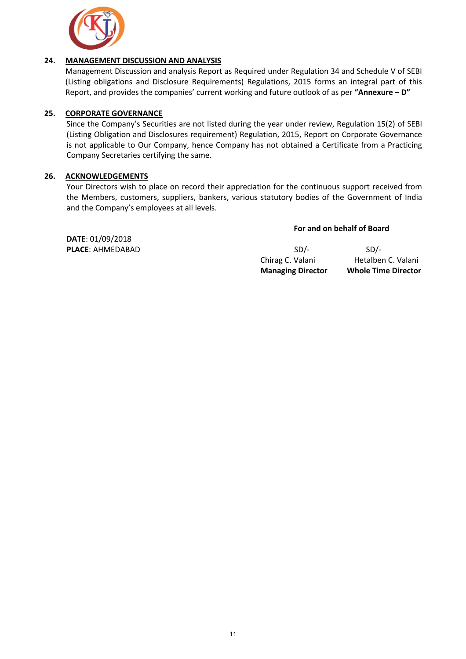

# **24. MANAGEMENT DISCUSSION AND ANALYSIS**

Management Discussion and analysis Report as Required under Regulation 34 and Schedule V of SEBI (Listing obligations and Disclosure Requirements) Regulations, 2015 forms an integral part of this Report, and provides the companies' current working and future outlook of as per **"Annexure – D"** 

#### **25. CORPORATE GOVERNANCE**

Since the Company's Securities are not listed during the year under review, Regulation 15(2) of SEBI (Listing Obligation and Disclosures requirement) Regulation, 2015, Report on Corporate Governance is not applicable to Our Company, hence Company has not obtained a Certificate from a Practicing Company Secretaries certifying the same.

## **26. ACKNOWLEDGEMENTS**

Your Directors wish to place on record their appreciation for the continuous support received from the Members, customers, suppliers, bankers, various statutory bodies of the Government of India and the Company's employees at all levels.

#### **For and on behalf of Board**

**PLACE**: AHMEDABAD SD/- SD/- SD/- SD/-Chirag C. Valani Hetalben C. Valani **Managing Director Whole Time Director**

**DATE**: 01/09/2018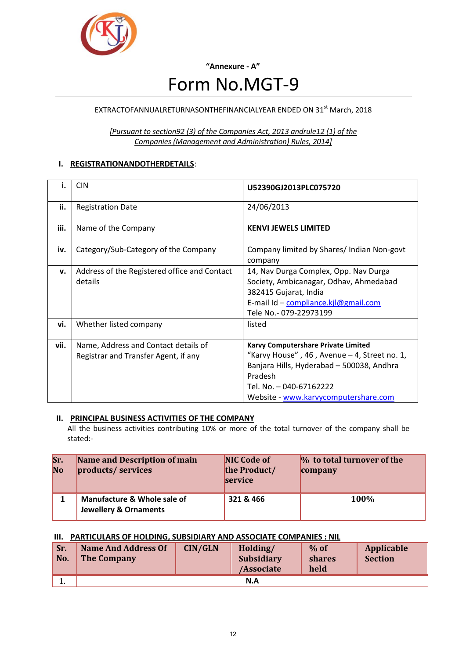

# **"Annexure - A"**  Form No.MGT-9

EXTRACTOFANNUALRETURNASONTHEFINANCIALYEAR ENDED ON 31<sup>st</sup> March, 2018

*[Pursuant to section92 (3) of the Companies Act, 2013 andrule12 (1) of the Companies (Management and Administration) Rules, 2014]*

## **I. REGISTRATIONANDOTHERDETAILS**:

|      | <b>CIN</b>                                                                   | U52390GJ2013PLC075720                                                                                                                                                                                            |
|------|------------------------------------------------------------------------------|------------------------------------------------------------------------------------------------------------------------------------------------------------------------------------------------------------------|
| ii.  | <b>Registration Date</b>                                                     | 24/06/2013                                                                                                                                                                                                       |
| iii. | Name of the Company                                                          | <b>KENVI JEWELS LIMITED</b>                                                                                                                                                                                      |
| iv.  | Category/Sub-Category of the Company                                         | Company limited by Shares/Indian Non-govt<br>company                                                                                                                                                             |
| v.   | Address of the Registered office and Contact<br>details                      | 14, Nav Durga Complex, Opp. Nav Durga<br>Society, Ambicanagar, Odhav, Ahmedabad<br>382415 Gujarat, India<br>E-mail Id - compliance.kjl@gmail.com<br>Tele No.- 079-22973199                                       |
| vi.  | Whether listed company                                                       | listed                                                                                                                                                                                                           |
| vii. | Name, Address and Contact details of<br>Registrar and Transfer Agent, if any | Karvy Computershare Private Limited<br>"Karvy House", 46, Avenue $-$ 4, Street no. 1,<br>Banjara Hills, Hyderabad - 500038, Andhra<br>Pradesh<br>Tel. No. - 040-67162222<br>Website - www.karyycomputershare.com |

#### **II. PRINCIPAL BUSINESS ACTIVITIES OF THE COMPANY**

All the business activities contributing 10% or more of the total turnover of the company shall be stated:-

| Sr.<br><b>No</b> | Name and Description of main<br>products/services               | NIC Code of<br>the Product/<br>service | $\%$ to total turnover of the<br>company |
|------------------|-----------------------------------------------------------------|----------------------------------------|------------------------------------------|
|                  | Manufacture & Whole sale of<br><b>Jewellery &amp; Ornaments</b> | 321 & 466                              | 100%                                     |

## **III. PARTICULARS OF HOLDING, SUBSIDIARY AND ASSOCIATE COMPANIES : NIL**

| Sr.<br>No. | <b>Name And Address Of</b><br><b>The Company</b> | <b>CIN/GLN</b> | Holding/<br><b>Subsidiary</b><br>/Associate | $%$ of<br><b>shares</b><br>held | Applicable<br><b>Section</b> |
|------------|--------------------------------------------------|----------------|---------------------------------------------|---------------------------------|------------------------------|
| π.         |                                                  |                | N.A                                         |                                 |                              |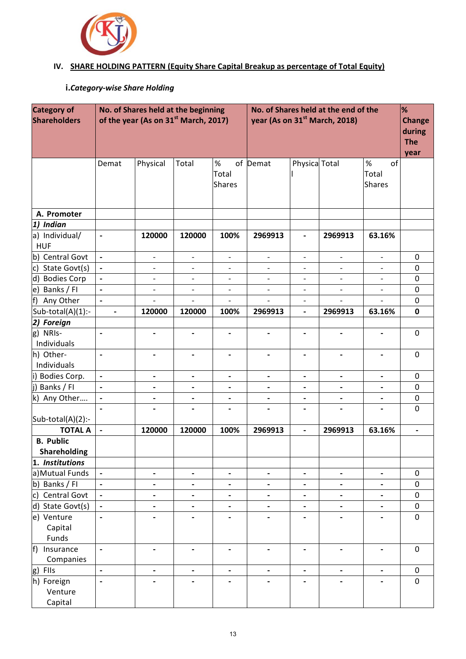

# **IV. SHARE HOLDING PATTERN (Equity Share Capital Breakup as percentage of Total Equity)**

# **i.***Category-wise Share Holding*

| <b>Category of</b><br><b>Shareholders</b> |                              | No. of Shares held at the beginning<br>of the year (As on 31 <sup>st</sup> March, 2017) |                          |                              | No. of Shares held at the end of the<br>year (As on 31 <sup>st</sup> March, 2018) |                          |                              |                               | $\frac{9}{6}$<br><b>Change</b><br>during<br><b>The</b> |
|-------------------------------------------|------------------------------|-----------------------------------------------------------------------------------------|--------------------------|------------------------------|-----------------------------------------------------------------------------------|--------------------------|------------------------------|-------------------------------|--------------------------------------------------------|
|                                           |                              |                                                                                         |                          |                              |                                                                                   |                          |                              |                               | year                                                   |
|                                           | Demat                        | Physical                                                                                | Total                    | $\%$<br>Total<br>Shares      | of Demat                                                                          | Physica Total            |                              | of<br>$\%$<br>Total<br>Shares |                                                        |
| A. Promoter                               |                              |                                                                                         |                          |                              |                                                                                   |                          |                              |                               |                                                        |
| 1) Indian                                 |                              |                                                                                         |                          |                              |                                                                                   |                          |                              |                               |                                                        |
| a) Individual/<br><b>HUF</b>              | $\blacksquare$               | 120000                                                                                  | 120000                   | 100%                         | 2969913                                                                           | $\overline{\phantom{a}}$ | 2969913                      | 63.16%                        |                                                        |
| b) Central Govt                           | $\overline{a}$               | $\overline{\phantom{a}}$                                                                | $\overline{\phantom{a}}$ | $\overline{\phantom{a}}$     | $\blacksquare$                                                                    | $\overline{\phantom{0}}$ | $\overline{\phantom{0}}$     | $\overline{a}$                | $\mathbf 0$                                            |
| c) State Govt(s)                          | $\blacksquare$               | $\overline{\phantom{a}}$                                                                | $\overline{\phantom{a}}$ | $\overline{\phantom{0}}$     | $\blacksquare$                                                                    | $\overline{\phantom{0}}$ | $\overline{\phantom{0}}$     | $\overline{\phantom{a}}$      | $\mathbf 0$                                            |
| d) Bodies Corp                            | $\blacksquare$               | $\overline{\phantom{a}}$                                                                | $\overline{\phantom{a}}$ | $\overline{\phantom{a}}$     | $\overline{\phantom{a}}$                                                          | $\overline{\phantom{a}}$ | $\overline{\phantom{a}}$     | $\overline{\phantom{a}}$      | $\mathbf 0$                                            |
| e) Banks / FI                             | $\overline{a}$               | $\overline{\phantom{a}}$                                                                |                          | $\overline{\phantom{a}}$     |                                                                                   | $\overline{\phantom{0}}$ |                              | $\overline{\phantom{a}}$      | $\mathbf 0$                                            |
| f)<br>Any Other                           | $\frac{1}{2}$                |                                                                                         |                          |                              |                                                                                   | $\overline{\phantom{0}}$ |                              |                               | $\mathbf 0$                                            |
| Sub-total(A)(1):-                         | $\overline{\phantom{a}}$     | 120000                                                                                  | 120000                   | 100%                         | 2969913                                                                           | $\overline{\phantom{a}}$ | 2969913                      | 63.16%                        | $\mathbf 0$                                            |
| 2) Foreign                                |                              |                                                                                         |                          |                              |                                                                                   |                          |                              |                               |                                                        |
| g) NRIs-                                  | $\overline{\phantom{0}}$     | $\qquad \qquad \blacksquare$                                                            |                          |                              |                                                                                   |                          |                              |                               | $\mathbf 0$                                            |
| Individuals                               |                              |                                                                                         |                          |                              |                                                                                   |                          |                              |                               |                                                        |
| h) Other-                                 | $\overline{a}$               | $\overline{\phantom{a}}$                                                                | $\overline{\phantom{a}}$ | $\overline{\phantom{0}}$     | $\overline{\phantom{a}}$                                                          | $\overline{\phantom{a}}$ | $\overline{\phantom{0}}$     | $\overline{\phantom{a}}$      | $\mathbf 0$                                            |
| Individuals                               |                              |                                                                                         |                          |                              |                                                                                   |                          |                              |                               |                                                        |
| Bodies Corp.                              | $\blacksquare$               | $\qquad \qquad \blacksquare$                                                            | $\overline{\phantom{a}}$ | $\qquad \qquad \blacksquare$ | $\overline{\phantom{a}}$                                                          | -                        | $\qquad \qquad \blacksquare$ | $\qquad \qquad \blacksquare$  | $\mathbf 0$                                            |
| i) Banks / FI                             | $\overline{a}$               | $\overline{\phantom{0}}$                                                                | $\blacksquare$           | $\overline{\phantom{a}}$     | $\overline{\phantom{a}}$                                                          | $\overline{\phantom{0}}$ | $\overline{\phantom{a}}$     | $\overline{\phantom{a}}$      | $\mathbf 0$                                            |
| k) Any Other                              |                              | $\overline{\phantom{0}}$                                                                | $\overline{\phantom{a}}$ | $\overline{\phantom{0}}$     | $\overline{\phantom{a}}$                                                          | $\overline{\phantom{0}}$ | $\qquad \qquad \blacksquare$ | $\qquad \qquad \blacksquare$  | $\mathbf 0$                                            |
| Sub-total(A)(2):-                         |                              |                                                                                         | $\overline{\phantom{a}}$ |                              | $\overline{\phantom{0}}$                                                          |                          |                              |                               | $\overline{0}$                                         |
| <b>TOTAL A</b>                            | $\overline{a}$               | 120000                                                                                  | 120000                   | 100%                         | 2969913                                                                           | $\overline{\phantom{a}}$ | 2969913                      | 63.16%                        | $\overline{\phantom{0}}$                               |
| <b>B.</b> Public                          |                              |                                                                                         |                          |                              |                                                                                   |                          |                              |                               |                                                        |
| Shareholding<br>1. Institutions           |                              |                                                                                         |                          |                              |                                                                                   |                          |                              |                               |                                                        |
| a) Mutual Funds                           |                              | $\overline{\phantom{a}}$                                                                | $\blacksquare$           | $\overline{\phantom{a}}$     | $\blacksquare$                                                                    |                          | $\overline{\phantom{a}}$     | $\overline{\phantom{a}}$      | $\mathbf 0$                                            |
| Banks / FI<br>b)                          | $\qquad \qquad \blacksquare$ | $\qquad \qquad \blacksquare$                                                            | $\blacksquare$           | $\overline{\phantom{a}}$     | $\overline{\phantom{a}}$                                                          | $\overline{\phantom{a}}$ | $\overline{\phantom{a}}$     | $\qquad \qquad \blacksquare$  | $\pmb{0}$                                              |
| c) Central Govt                           | $\blacksquare$               | $\overline{\phantom{0}}$                                                                | $\blacksquare$           | $\overline{\phantom{0}}$     | $\blacksquare$                                                                    |                          | $\overline{\phantom{a}}$     |                               | $\mathbf 0$                                            |
| d) State Govt(s)                          | $\blacksquare$               | $\overline{\phantom{a}}$                                                                | $\overline{\phantom{a}}$ | $\overline{\phantom{a}}$     | $\overline{\phantom{a}}$                                                          | $\overline{\phantom{0}}$ | $\overline{\phantom{a}}$     | $\qquad \qquad -$             | $\pmb{0}$                                              |
| e) Venture                                | $\overline{\phantom{a}}$     |                                                                                         |                          |                              |                                                                                   |                          | $\overline{\phantom{a}}$     |                               | $\mathbf 0$                                            |
| Capital                                   |                              |                                                                                         |                          |                              |                                                                                   |                          |                              |                               |                                                        |
| Funds                                     |                              |                                                                                         |                          |                              |                                                                                   |                          |                              |                               |                                                        |
| f <br>Insurance                           | $\qquad \qquad \blacksquare$ | $\blacksquare$                                                                          |                          |                              |                                                                                   |                          |                              |                               | $\mathbf 0$                                            |
| Companies                                 |                              |                                                                                         |                          |                              |                                                                                   |                          |                              |                               |                                                        |
| g) Fils                                   | $\frac{1}{2}$                | $\overline{\phantom{a}}$                                                                | $\overline{\phantom{a}}$ | $\overline{\phantom{0}}$     | $\overline{\phantom{a}}$                                                          | $\overline{\phantom{0}}$ | $\qquad \qquad \blacksquare$ | $\qquad \qquad \blacksquare$  | 0                                                      |
| h) Foreign<br>Venture                     |                              |                                                                                         |                          |                              |                                                                                   |                          |                              |                               | $\mathbf 0$                                            |
| Capital                                   |                              |                                                                                         |                          |                              |                                                                                   |                          |                              |                               |                                                        |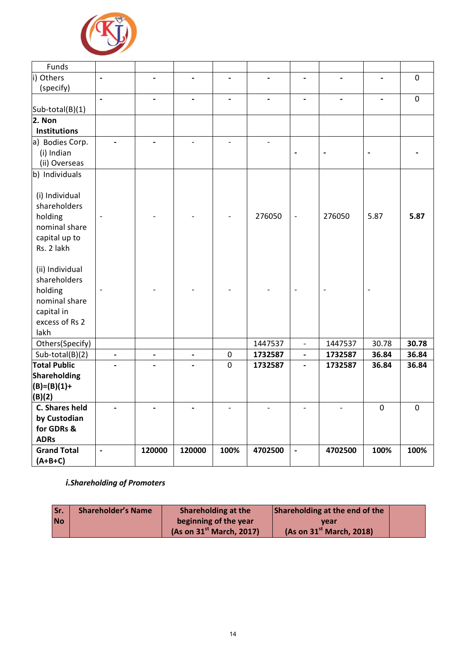

| Funds               |                          |        |        |             |         |                          |         |             |                |
|---------------------|--------------------------|--------|--------|-------------|---------|--------------------------|---------|-------------|----------------|
| i) Others           | $\overline{a}$           |        |        |             |         |                          |         |             | $\mathbf 0$    |
| (specify)           |                          |        |        |             |         |                          |         |             |                |
|                     | $\overline{a}$           |        |        |             |         |                          |         |             | $\mathbf 0$    |
| Sub-total(B)(1)     |                          |        |        |             |         |                          |         |             |                |
| 2. Non              |                          |        |        |             |         |                          |         |             |                |
| <b>Institutions</b> |                          |        |        |             |         |                          |         |             |                |
| a) Bodies Corp.     |                          |        |        |             |         |                          |         |             |                |
| (i) Indian          |                          |        |        |             |         | ٠                        |         |             |                |
| (ii) Overseas       |                          |        |        |             |         |                          |         |             |                |
| b) Individuals      |                          |        |        |             |         |                          |         |             |                |
|                     |                          |        |        |             |         |                          |         |             |                |
| (i) Individual      |                          |        |        |             |         |                          |         |             |                |
| shareholders        |                          |        |        |             |         |                          |         |             |                |
| holding             | $\overline{a}$           |        |        |             | 276050  | $\overline{\phantom{a}}$ | 276050  | 5.87        | 5.87           |
| nominal share       |                          |        |        |             |         |                          |         |             |                |
| capital up to       |                          |        |        |             |         |                          |         |             |                |
| Rs. 2 lakh          |                          |        |        |             |         |                          |         |             |                |
|                     |                          |        |        |             |         |                          |         |             |                |
| (ii) Individual     |                          |        |        |             |         |                          |         |             |                |
| shareholders        |                          |        |        |             |         |                          |         |             |                |
| holding             |                          |        |        |             |         | $\overline{\phantom{a}}$ |         |             |                |
| nominal share       |                          |        |        |             |         |                          |         |             |                |
| capital in          |                          |        |        |             |         |                          |         |             |                |
| excess of Rs 2      |                          |        |        |             |         |                          |         |             |                |
| lakh                |                          |        |        |             |         |                          |         |             |                |
| Others(Specify)     |                          |        |        |             | 1447537 | $\overline{\phantom{a}}$ | 1447537 | 30.78       | 30.78          |
| Sub-total(B)(2)     | $\overline{\phantom{a}}$ |        |        | $\mathbf 0$ | 1732587 | $\overline{\phantom{a}}$ | 1732587 | 36.84       | 36.84          |
| <b>Total Public</b> |                          |        |        | $\mathbf 0$ | 1732587 | $\overline{a}$           | 1732587 | 36.84       | 36.84          |
| Shareholding        |                          |        |        |             |         |                          |         |             |                |
| $(B)=(B)(1)+$       |                          |        |        |             |         |                          |         |             |                |
| (B)(2)              |                          |        |        |             |         |                          |         |             |                |
| C. Shares held      |                          |        |        |             |         |                          |         | $\mathbf 0$ | $\overline{0}$ |
| by Custodian        |                          |        |        |             |         |                          |         |             |                |
| for GDRs &          |                          |        |        |             |         |                          |         |             |                |
| <b>ADRs</b>         |                          |        |        |             |         |                          |         |             |                |
| <b>Grand Total</b>  | $\blacksquare$           | 120000 | 120000 | 100%        | 4702500 | $\overline{\phantom{a}}$ | 4702500 | 100%        | 100%           |
| $(A+B+C)$           |                          |        |        |             |         |                          |         |             |                |
|                     |                          |        |        |             |         |                          |         |             |                |

# *i.Shareholding of Promoters*

| ISr.      | <b>Shareholder's Name</b> | Shareholding at the        | Shareholding at the end of the |  |
|-----------|---------------------------|----------------------------|--------------------------------|--|
| <b>No</b> |                           | beginning of the year      | vear                           |  |
|           |                           | (As on $31st$ March, 2017) | (As on $31st$ March, 2018)     |  |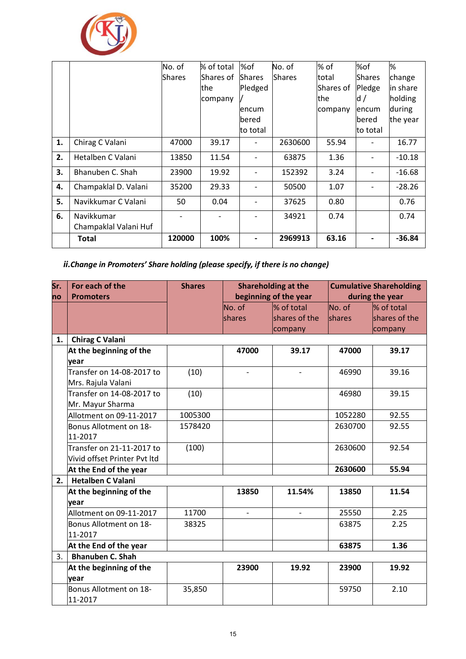

|    |                       | No. of        | % of total | %of           | No. of        | % of      | %of           | %        |
|----|-----------------------|---------------|------------|---------------|---------------|-----------|---------------|----------|
|    |                       | <b>Shares</b> | Shares of  | <b>Shares</b> | <b>Shares</b> | total     | <b>Shares</b> | change   |
|    |                       |               | the.       | Pledged       |               | Shares of | Pledge        | in share |
|    |                       |               | company    |               |               | lthe.     | d /           | holding  |
|    |                       |               |            | encum         |               | company   | encum         | during   |
|    |                       |               |            | <b>bered</b>  |               |           | bered         | the year |
|    |                       |               |            | to total      |               |           | to total      |          |
| 1. | Chirag C Valani       | 47000         | 39.17      |               | 2630600       | 55.94     |               | 16.77    |
| 2. | Hetalben C Valani     | 13850         | 11.54      |               | 63875         | 1.36      |               | $-10.18$ |
| 3. | Bhanuben C. Shah      | 23900         | 19.92      |               | 152392        | 3.24      |               | $-16.68$ |
| 4. | Champaklal D. Valani  | 35200         | 29.33      |               | 50500         | 1.07      |               | $-28.26$ |
| 5. | Navikkumar C Valani   | 50            | 0.04       |               | 37625         | 0.80      |               | 0.76     |
| 6. | Navikkumar            |               |            |               | 34921         | 0.74      |               | 0.74     |
|    | Champaklal Valani Huf |               |            |               |               |           |               |          |
|    | <b>Total</b>          | 120000        | 100%       |               | 2969913       | 63.16     |               | $-36.84$ |

# *ii.Change in Promoters' Share holding (please specify, if there is no change)*

| Sr. | For each of the              | <b>Shares</b> | <b>Shareholding at the</b> |                          |         | <b>Cumulative Shareholding</b> |
|-----|------------------------------|---------------|----------------------------|--------------------------|---------|--------------------------------|
| no  | <b>Promoters</b>             |               |                            | beginning of the year    |         | during the year                |
|     |                              |               | No. of                     | % of total               | No. of  | % of total                     |
|     |                              |               | shares                     | shares of the            | shares  | shares of the                  |
|     |                              |               |                            | company                  |         | company                        |
| 1.  | <b>Chirag C Valani</b>       |               |                            |                          |         |                                |
|     | At the beginning of the      |               | 47000                      | 39.17                    | 47000   | 39.17                          |
|     | year                         |               |                            |                          |         |                                |
|     | Transfer on 14-08-2017 to    | (10)          | $\overline{\phantom{0}}$   |                          | 46990   | 39.16                          |
|     | Mrs. Rajula Valani           |               |                            |                          |         |                                |
|     | Transfer on 14-08-2017 to    | (10)          |                            |                          | 46980   | 39.15                          |
|     | Mr. Mayur Sharma             |               |                            |                          |         |                                |
|     | Allotment on 09-11-2017      | 1005300       |                            |                          | 1052280 | 92.55                          |
|     | Bonus Allotment on 18-       | 1578420       |                            |                          | 2630700 | 92.55                          |
|     | 11-2017                      |               |                            |                          |         |                                |
|     | Transfer on 21-11-2017 to    | (100)         |                            |                          | 2630600 | 92.54                          |
|     | Vivid offset Printer Pvt Itd |               |                            |                          |         |                                |
|     | At the End of the year       |               |                            |                          | 2630600 | 55.94                          |
| 2.  | <b>Hetalben C Valani</b>     |               |                            |                          |         |                                |
|     | At the beginning of the      |               | 13850                      | 11.54%                   | 13850   | 11.54                          |
|     | year                         |               |                            |                          |         |                                |
|     | Allotment on 09-11-2017      | 11700         | $\overline{\phantom{0}}$   | $\overline{\phantom{a}}$ | 25550   | 2.25                           |
|     | Bonus Allotment on 18-       | 38325         |                            |                          | 63875   | 2.25                           |
|     | 11-2017                      |               |                            |                          |         |                                |
|     | At the End of the year       |               |                            |                          | 63875   | 1.36                           |
| 3.  | <b>Bhanuben C. Shah</b>      |               |                            |                          |         |                                |
|     | At the beginning of the      |               | 23900                      | 19.92                    | 23900   | 19.92                          |
|     | vear                         |               |                            |                          |         |                                |
|     | Bonus Allotment on 18-       | 35,850        |                            |                          | 59750   | 2.10                           |
|     | 11-2017                      |               |                            |                          |         |                                |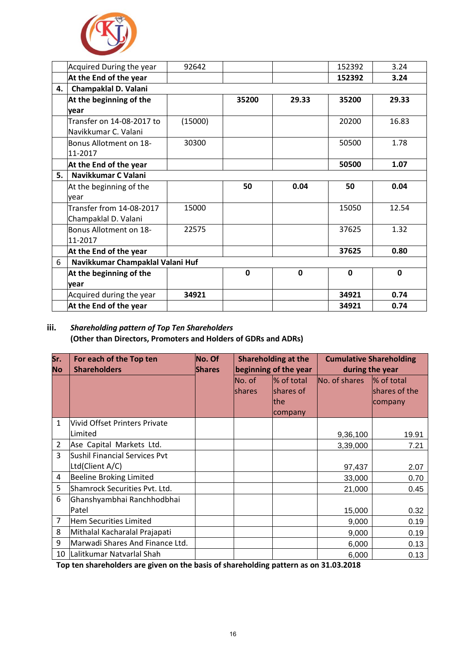

| 3.24        |
|-------------|
|             |
| 3.24        |
|             |
| 29.33       |
|             |
| 16.83       |
|             |
| 1.78        |
|             |
| 1.07        |
|             |
| 0.04        |
|             |
| 12.54       |
|             |
| 1.32        |
|             |
| 0.80        |
|             |
| $\mathbf 0$ |
|             |
| 0.74        |
| 0.74        |
|             |

# **iii.** *Shareholding pattern of Top Ten Shareholders* **(Other than Directors, Promoters and Holders of GDRs and ADRs)**

| Sr.            | For each of the Top ten              | No. Of        | Shareholding at the |                       | <b>Cumulative Shareholding</b> |               |  |
|----------------|--------------------------------------|---------------|---------------------|-----------------------|--------------------------------|---------------|--|
| No             | <b>Shareholders</b>                  | <b>Shares</b> |                     | beginning of the year | during the year                |               |  |
|                |                                      |               | No. of              | % of total            | No. of shares                  | % of total    |  |
|                |                                      |               | <b>Ishares</b>      | shares of             |                                | shares of the |  |
|                |                                      |               |                     | the                   |                                | company       |  |
|                |                                      |               |                     | company               |                                |               |  |
| $\mathbf{1}$   | Vivid Offset Printers Private        |               |                     |                       |                                |               |  |
|                | Limited                              |               |                     |                       | 9,36,100                       | 19.91         |  |
| $\overline{2}$ | Ase Capital Markets Ltd.             |               |                     |                       | 3,39,000                       | 7.21          |  |
| 3              | <b>Sushil Financial Services Pvt</b> |               |                     |                       |                                |               |  |
|                | Ltd(Client A/C)                      |               |                     |                       | 97,437                         | 2.07          |  |
| 4              | Beeline Broking Limited              |               |                     |                       | 33,000                         | 0.70          |  |
| 5              | Shamrock Securities Pvt. Ltd.        |               |                     |                       | 21,000                         | 0.45          |  |
| 6              | Ghanshyambhai Ranchhodbhai           |               |                     |                       |                                |               |  |
|                | Patel                                |               |                     |                       | 15,000                         | 0.32          |  |
| $\overline{7}$ | Hem Securities Limited               |               |                     |                       | 9,000                          | 0.19          |  |
| 8              | Mithalal Kacharalal Prajapati        |               |                     |                       | 9,000                          | 0.19          |  |
| 9              | Marwadi Shares And Finance Ltd.      |               |                     |                       | 6,000                          | 0.13          |  |
| 10             | Lalitkumar Natvarlal Shah            |               |                     |                       | 6,000                          | 0.13          |  |

**Top ten shareholders are given on the basis of shareholding pattern as on 31.03.2018**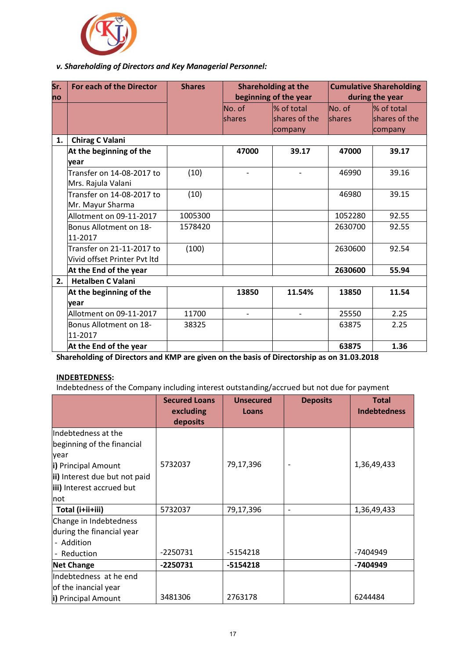

# *v. Shareholding of Directors and Key Managerial Personnel:*

| Sr. | <b>For each of the Director</b>                           | <b>Shares</b> |                          | <b>Shareholding at the</b> | <b>Cumulative Shareholding</b> |                 |  |
|-----|-----------------------------------------------------------|---------------|--------------------------|----------------------------|--------------------------------|-----------------|--|
| no  |                                                           |               |                          | beginning of the year      |                                | during the year |  |
|     |                                                           |               | No. of                   | % of total                 | No. of                         | % of total      |  |
|     |                                                           |               | <b>shares</b>            | shares of the              | <b>Ishares</b>                 | shares of the   |  |
|     |                                                           |               |                          | company                    |                                | company         |  |
| 1.  | <b>Chirag C Valani</b>                                    |               |                          |                            |                                |                 |  |
|     | At the beginning of the<br>year                           |               | 47000                    | 39.17                      | 47000                          | 39.17           |  |
|     | Transfer on 14-08-2017 to<br>Mrs. Rajula Valani           | (10)          | $\overline{a}$           |                            | 46990                          | 39.16           |  |
|     | Transfer on 14-08-2017 to<br>Mr. Mayur Sharma             | (10)          |                          |                            | 46980                          | 39.15           |  |
|     | Allotment on 09-11-2017                                   | 1005300       |                          |                            | 1052280                        | 92.55           |  |
|     | Bonus Allotment on 18-<br>11-2017                         | 1578420       |                          |                            | 2630700                        | 92.55           |  |
|     | Transfer on 21-11-2017 to<br>Vivid offset Printer Pvt Itd | (100)         |                          |                            | 2630600                        | 92.54           |  |
|     | At the End of the year                                    |               |                          |                            | 2630600                        | 55.94           |  |
| 2.  | <b>Hetalben C Valani</b>                                  |               |                          |                            |                                |                 |  |
|     | At the beginning of the                                   |               | 13850                    | 11.54%                     | 13850                          | 11.54           |  |
|     | year                                                      |               |                          |                            |                                |                 |  |
|     | Allotment on 09-11-2017                                   | 11700         | $\overline{\phantom{a}}$ | $\qquad \qquad -$          | 25550                          | 2.25            |  |
|     | Bonus Allotment on 18-<br>11-2017                         | 38325         |                          |                            | 63875                          | 2.25            |  |
|     | At the End of the year                                    |               |                          |                            | 63875                          | 1.36            |  |

**Shareholding of Directors and KMP are given on the basis of Directorship as on 31.03.2018**

# **INDEBTEDNESS:**

Indebtedness of the Company including interest outstanding/accrued but not due for payment

|                               | <b>Secured Loans</b><br>excluding | <b>Unsecured</b><br>Loans | <b>Deposits</b> | <b>Total</b><br><b>Indebtedness</b> |
|-------------------------------|-----------------------------------|---------------------------|-----------------|-------------------------------------|
|                               | deposits                          |                           |                 |                                     |
| Indebtedness at the           |                                   |                           |                 |                                     |
| beginning of the financial    |                                   |                           |                 |                                     |
| year                          |                                   |                           |                 |                                     |
| i) Principal Amount           | 5732037                           | 79,17,396                 |                 | 1,36,49,433                         |
| ii) Interest due but not paid |                                   |                           |                 |                                     |
| iii) Interest accrued but     |                                   |                           |                 |                                     |
| not                           |                                   |                           |                 |                                     |
| Total (i+ii+iii)              | 5732037                           | 79,17,396                 |                 | 1,36,49,433                         |
| Change in Indebtedness        |                                   |                           |                 |                                     |
| during the financial year     |                                   |                           |                 |                                     |
| - Addition                    |                                   |                           |                 |                                     |
| - Reduction                   | $-2250731$                        | -5154218                  |                 | -7404949                            |
| <b>Net Change</b>             | $-2250731$                        | $-5154218$                |                 | -7404949                            |
| Indebtedness at he end        |                                   |                           |                 |                                     |
| of the inancial year          |                                   |                           |                 |                                     |
| i) Principal Amount           | 3481306                           | 2763178                   |                 | 6244484                             |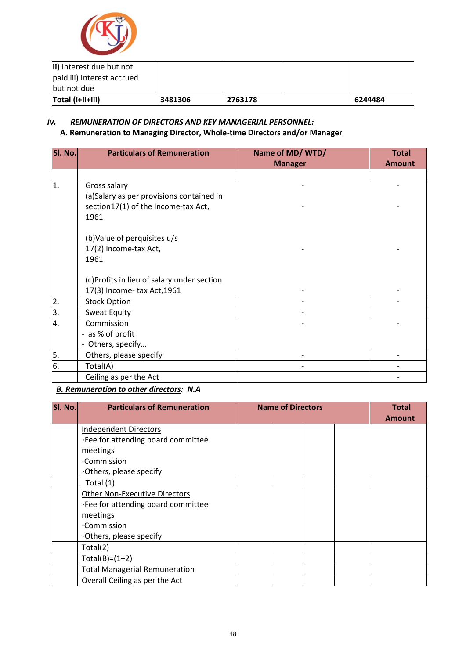

| ii) Interest due but not   |         |         |         |
|----------------------------|---------|---------|---------|
| paid iii) Interest accrued |         |         |         |
| but not due                |         |         |         |
| Total (i+ii+iii)           | 3481306 | 2763178 | 6244484 |

# *iv. REMUNERATION OF DIRECTORS AND KEY MANAGERIAL PERSONNEL:*   **A. Remuneration to Managing Director, Whole-time Directors and/or Manager**

| SI. No.          | <b>Particulars of Remuneration</b>         | Name of MD/WTD/<br><b>Manager</b> | <b>Total</b><br><b>Amount</b> |
|------------------|--------------------------------------------|-----------------------------------|-------------------------------|
|                  |                                            |                                   |                               |
| $\overline{1}$   | Gross salary                               |                                   |                               |
|                  | (a)Salary as per provisions contained in   |                                   |                               |
|                  | section17(1) of the Income-tax Act,        |                                   |                               |
|                  | 1961                                       |                                   |                               |
|                  | (b) Value of perquisites u/s               |                                   |                               |
|                  | 17(2) Income-tax Act,                      |                                   |                               |
|                  | 1961                                       |                                   |                               |
|                  |                                            |                                   |                               |
|                  | (c)Profits in lieu of salary under section |                                   |                               |
|                  | 17(3) Income-tax Act, 1961                 |                                   |                               |
| 2.               | <b>Stock Option</b>                        |                                   |                               |
| $\overline{3}$ . | <b>Sweat Equity</b>                        |                                   |                               |
| 4.               | Commission                                 |                                   |                               |
|                  | - as % of profit                           |                                   |                               |
|                  | - Others, specify                          |                                   |                               |
| 5.               | Others, please specify                     |                                   |                               |
| 6.               | Total(A)                                   |                                   |                               |
|                  | Ceiling as per the Act                     |                                   |                               |

# *B. Remuneration to other directors: N.A*

| SI. No. | <b>Particulars of Remuneration</b>   | <b>Name of Directors</b> |  |  | <b>Total</b><br><b>Amount</b> |  |
|---------|--------------------------------------|--------------------------|--|--|-------------------------------|--|
|         | <b>Independent Directors</b>         |                          |  |  |                               |  |
|         | -Fee for attending board committee   |                          |  |  |                               |  |
|         | meetings                             |                          |  |  |                               |  |
|         | <b>Commission</b>                    |                          |  |  |                               |  |
|         | .Others, please specify              |                          |  |  |                               |  |
|         | Total (1)                            |                          |  |  |                               |  |
|         | <b>Other Non-Executive Directors</b> |                          |  |  |                               |  |
|         | ·Fee for attending board committee   |                          |  |  |                               |  |
|         | meetings                             |                          |  |  |                               |  |
|         | <b>Commission</b>                    |                          |  |  |                               |  |
|         | .Others, please specify              |                          |  |  |                               |  |
|         | Total(2)                             |                          |  |  |                               |  |
|         | $Total(B)=(1+2)$                     |                          |  |  |                               |  |
|         | <b>Total Managerial Remuneration</b> |                          |  |  |                               |  |
|         | Overall Ceiling as per the Act       |                          |  |  |                               |  |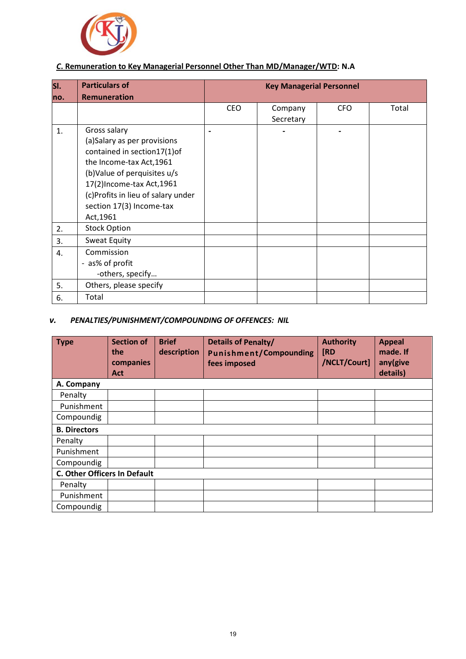

# *C***. Remuneration to Key Managerial Personnel Other Than MD/Manager/WTD: N.A**

| SI.<br>lno.    | <b>Particulars of</b><br>Remuneration                                                                                                                                                                                                               | <b>Key Managerial Personnel</b> |                      |            |       |
|----------------|-----------------------------------------------------------------------------------------------------------------------------------------------------------------------------------------------------------------------------------------------------|---------------------------------|----------------------|------------|-------|
|                |                                                                                                                                                                                                                                                     | <b>CEO</b>                      | Company<br>Secretary | <b>CFO</b> | Total |
| $\mathbf{1}$ . | Gross salary<br>(a)Salary as per provisions<br>contained in section17(1)of<br>the Income-tax Act, 1961<br>(b) Value of perquisites u/s<br>17(2) Income-tax Act, 1961<br>(c)Profits in lieu of salary under<br>section 17(3) Income-tax<br>Act, 1961 |                                 |                      |            |       |
| 2.             | <b>Stock Option</b>                                                                                                                                                                                                                                 |                                 |                      |            |       |
| 3.             | <b>Sweat Equity</b>                                                                                                                                                                                                                                 |                                 |                      |            |       |
| 4.             | Commission<br>- as% of profit<br>-others, specify                                                                                                                                                                                                   |                                 |                      |            |       |
| 5.             | Others, please specify                                                                                                                                                                                                                              |                                 |                      |            |       |
| 6.             | Total                                                                                                                                                                                                                                               |                                 |                      |            |       |

# *v. PENALTIES/PUNISHMENT/COMPOUNDING OF OFFENCES: NIL*

| <b>Type</b>                  | <b>Section of</b><br>the<br>companies<br>Act | <b>Brief</b><br>description | <b>Details of Penalty/</b><br><b>Punishment/Compounding</b><br>fees imposed | <b>Authority</b><br>[RD<br>/NCLT/Court] | <b>Appeal</b><br>made. If<br>any(give<br>details) |
|------------------------------|----------------------------------------------|-----------------------------|-----------------------------------------------------------------------------|-----------------------------------------|---------------------------------------------------|
| A. Company                   |                                              |                             |                                                                             |                                         |                                                   |
| Penalty                      |                                              |                             |                                                                             |                                         |                                                   |
| Punishment                   |                                              |                             |                                                                             |                                         |                                                   |
| Compoundig                   |                                              |                             |                                                                             |                                         |                                                   |
| <b>B. Directors</b>          |                                              |                             |                                                                             |                                         |                                                   |
| Penalty                      |                                              |                             |                                                                             |                                         |                                                   |
| Punishment                   |                                              |                             |                                                                             |                                         |                                                   |
| Compoundig                   |                                              |                             |                                                                             |                                         |                                                   |
| C. Other Officers In Default |                                              |                             |                                                                             |                                         |                                                   |
| Penalty                      |                                              |                             |                                                                             |                                         |                                                   |
| Punishment                   |                                              |                             |                                                                             |                                         |                                                   |
| Compoundig                   |                                              |                             |                                                                             |                                         |                                                   |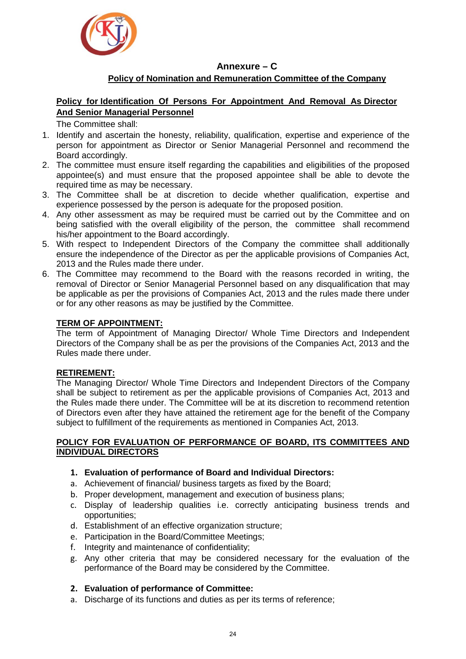

# **Annexure – C**

**Policy of Nomination and Remuneration Committee of the Company**

# **Policy for Identification Of Persons For Appointment And Removal As Director And Senior Managerial Personnel**

The Committee shall:

- 1. Identify and ascertain the honesty, reliability, qualification, expertise and experience of the person for appointment as Director or Senior Managerial Personnel and recommend the Board accordingly.
- 2. The committee must ensure itself regarding the capabilities and eligibilities of the proposed appointee(s) and must ensure that the proposed appointee shall be able to devote the required time as may be necessary.
- 3. The Committee shall be at discretion to decide whether qualification, expertise and experience possessed by the person is adequate for the proposed position.
- 4. Any other assessment as may be required must be carried out by the Committee and on being satisfied with the overall eligibility of the person, the committee shall recommend his/her appointment to the Board accordingly.
- 5. With respect to Independent Directors of the Company the committee shall additionally ensure the independence of the Director as per the applicable provisions of Companies Act, 2013 and the Rules made there under.
- 6. The Committee may recommend to the Board with the reasons recorded in writing, the removal of Director or Senior Managerial Personnel based on any disqualification that may be applicable as per the provisions of Companies Act, 2013 and the rules made there under or for any other reasons as may be justified by the Committee.

# **TERM OF APPOINTMENT:**

The term of Appointment of Managing Director/ Whole Time Directors and Independent Directors of the Company shall be as per the provisions of the Companies Act, 2013 and the Rules made there under.

# **RETIREMENT:**

The Managing Director/ Whole Time Directors and Independent Directors of the Company shall be subject to retirement as per the applicable provisions of Companies Act, 2013 and the Rules made there under. The Committee will be at its discretion to recommend retention of Directors even after they have attained the retirement age for the benefit of the Company subject to fulfillment of the requirements as mentioned in Companies Act, 2013.

# **POLICY FOR EVALUATION OF PERFORMANCE OF BOARD, ITS COMMITTEES AND INDIVIDUAL DIRECTORS**

# **1. Evaluation of performance of Board and Individual Directors:**

- a. Achievement of financial/ business targets as fixed by the Board;
- b. Proper development, management and execution of business plans;
- c. Display of leadership qualities i.e. correctly anticipating business trends and opportunities;
- d. Establishment of an effective organization structure;
- e. Participation in the Board/Committee Meetings;
- f. Integrity and maintenance of confidentiality;
- g. Any other criteria that may be considered necessary for the evaluation of the performance of the Board may be considered by the Committee.

# **2. Evaluation of performance of Committee:**

a. Discharge of its functions and duties as per its terms of reference;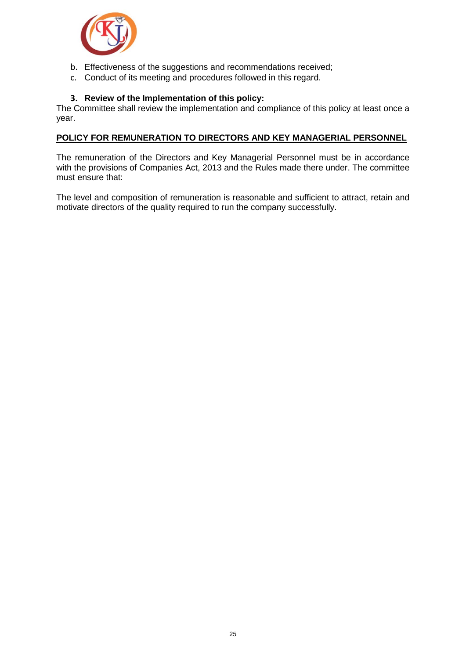

- b. Effectiveness of the suggestions and recommendations received;
- c. Conduct of its meeting and procedures followed in this regard.

# **3. Review of the Implementation of this policy:**

The Committee shall review the implementation and compliance of this policy at least once a year.

## **POLICY FOR REMUNERATION TO DIRECTORS AND KEY MANAGERIAL PERSONNEL**

The remuneration of the Directors and Key Managerial Personnel must be in accordance with the provisions of Companies Act, 2013 and the Rules made there under. The committee must ensure that:

The level and composition of remuneration is reasonable and sufficient to attract, retain and motivate directors of the quality required to run the company successfully.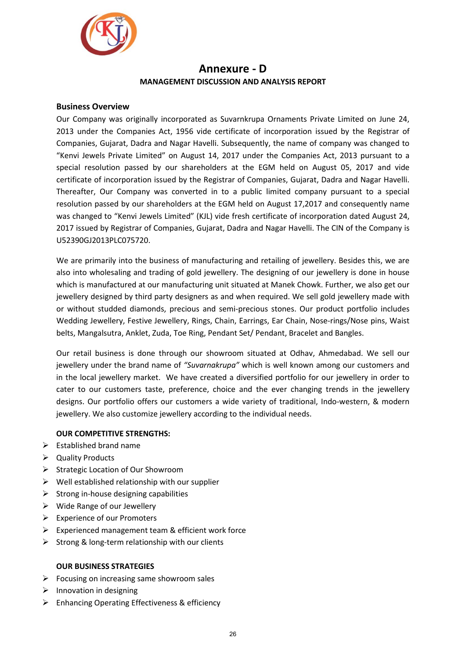

# **Annexure - D MANAGEMENT DISCUSSION AND ANALYSIS REPORT**

#### **Business Overview**

Our Company was originally incorporated as Suvarnkrupa Ornaments Private Limited on June 24, 2013 under the Companies Act, 1956 vide certificate of incorporation issued by the Registrar of Companies, Gujarat, Dadra and Nagar Havelli. Subsequently, the name of company was changed to "Kenvi Jewels Private Limited" on August 14, 2017 under the Companies Act, 2013 pursuant to a special resolution passed by our shareholders at the EGM held on August 05, 2017 and vide certificate of incorporation issued by the Registrar of Companies, Gujarat, Dadra and Nagar Havelli. Thereafter, Our Company was converted in to a public limited company pursuant to a special resolution passed by our shareholders at the EGM held on August 17,2017 and consequently name was changed to "Kenvi Jewels Limited" (KJL) vide fresh certificate of incorporation dated August 24, 2017 issued by Registrar of Companies, Gujarat, Dadra and Nagar Havelli. The CIN of the Company is U52390GJ2013PLC075720.

We are primarily into the business of manufacturing and retailing of jewellery. Besides this, we are also into wholesaling and trading of gold jewellery. The designing of our jewellery is done in house which is manufactured at our manufacturing unit situated at Manek Chowk. Further, we also get our jewellery designed by third party designers as and when required. We sell gold jewellery made with or without studded diamonds, precious and semi-precious stones. Our product portfolio includes Wedding Jewellery, Festive Jewellery, Rings, Chain, Earrings, Ear Chain, Nose-rings/Nose pins, Waist belts, Mangalsutra, Anklet, Zuda, Toe Ring, Pendant Set/ Pendant, Bracelet and Bangles.

Our retail business is done through our showroom situated at Odhav, Ahmedabad. We sell our jewellery under the brand name of *"Suvarnakrupa"* which is well known among our customers and in the local jewellery market. We have created a diversified portfolio for our jewellery in order to cater to our customers taste, preference, choice and the ever changing trends in the jewellery designs. Our portfolio offers our customers a wide variety of traditional, Indo-western, & modern jewellery. We also customize jewellery according to the individual needs.

# **OUR COMPETITIVE STRENGTHS:**

- $\triangleright$  Established brand name
- **▶** Quality Products
- $\triangleright$  Strategic Location of Our Showroom
- $\triangleright$  Well established relationship with our supplier
- $\triangleright$  Strong in-house designing capabilities
- $\triangleright$  Wide Range of our Jewellery
- $\triangleright$  Experience of our Promoters
- $\triangleright$  Experienced management team & efficient work force
- $\triangleright$  Strong & long-term relationship with our clients

#### **OUR BUSINESS STRATEGIES**

- $\triangleright$  Focusing on increasing same showroom sales
- $\triangleright$  Innovation in designing
- Enhancing Operating Effectiveness & efficiency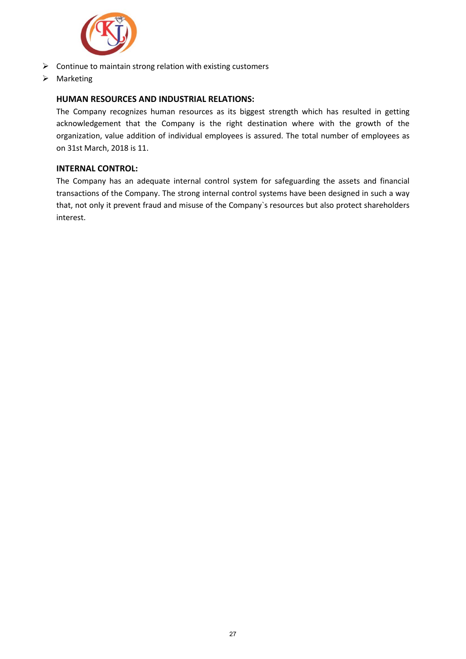

- $\triangleright$  Continue to maintain strong relation with existing customers
- $\triangleright$  Marketing

## **HUMAN RESOURCES AND INDUSTRIAL RELATIONS:**

The Company recognizes human resources as its biggest strength which has resulted in getting acknowledgement that the Company is the right destination where with the growth of the organization, value addition of individual employees is assured. The total number of employees as on 31st March, 2018 is 11.

# **INTERNAL CONTROL:**

The Company has an adequate internal control system for safeguarding the assets and financial transactions of the Company. The strong internal control systems have been designed in such a way that, not only it prevent fraud and misuse of the Company`s resources but also protect shareholders interest.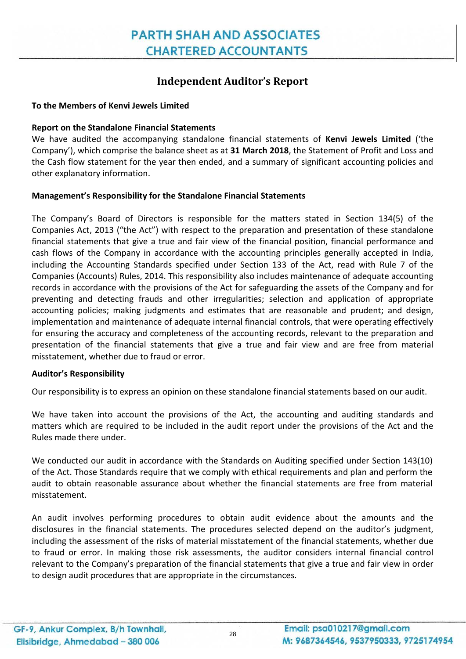# **Independent Auditor's Report**

# **To the Members of Kenvi Jewels Limited**

# **Report on the Standalone Financial Statements**

We have audited the accompanying standalone financial statements of **Kenvi Jewels Limited** ('the Company'), which comprise the balance sheet as at **31 March 2018**, the Statement of Profit and Loss and the Cash flow statement for the year then ended, and a summary of significant accounting policies and other explanatory information.

# **Management's Responsibility for the Standalone Financial Statements**

The Company's Board of Directors is responsible for the matters stated in Section 134(5) of the Companies Act, 2013 ("the Act") with respect to the preparation and presentation of these standalone financial statements that give a true and fair view of the financial position, financial performance and cash flows of the Company in accordance with the accounting principles generally accepted in India, including the Accounting Standards specified under Section 133 of the Act, read with Rule 7 of the Companies (Accounts) Rules, 2014. This responsibility also includes maintenance of adequate accounting records in accordance with the provisions of the Act for safeguarding the assets of the Company and for preventing and detecting frauds and other irregularities; selection and application of appropriate accounting policies; making judgments and estimates that are reasonable and prudent; and design, implementation and maintenance of adequate internal financial controls, that were operating effectively for ensuring the accuracy and completeness of the accounting records, relevant to the preparation and presentation of the financial statements that give a true and fair view and are free from material misstatement, whether due to fraud or error.

# **Auditor's Responsibility**

Our responsibility is to express an opinion on these standalone financial statements based on our audit.

We have taken into account the provisions of the Act, the accounting and auditing standards and matters which are required to be included in the audit report under the provisions of the Act and the Rules made there under.

We conducted our audit in accordance with the Standards on Auditing specified under Section 143(10) of the Act. Those Standards require that we comply with ethical requirements and plan and perform the audit to obtain reasonable assurance about whether the financial statements are free from material misstatement.

An audit involves performing procedures to obtain audit evidence about the amounts and the disclosures in the financial statements. The procedures selected depend on the auditor's judgment, including the assessment of the risks of material misstatement of the financial statements, whether due to fraud or error. In making those risk assessments, the auditor considers internal financial control relevant to the Company's preparation of the financial statements that give a true and fair view in order to design audit procedures that are appropriate in the circumstances.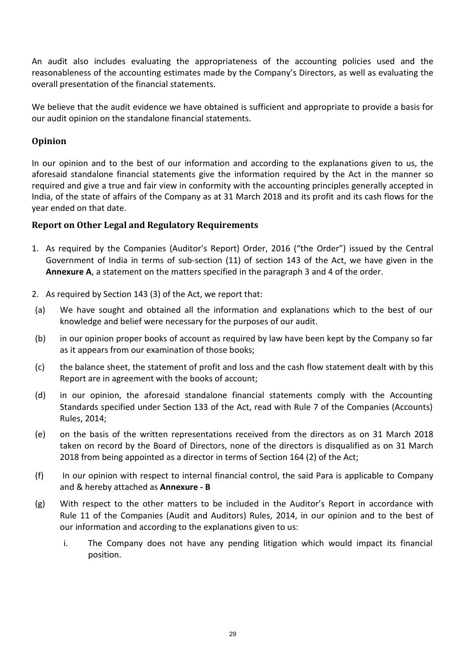An audit also includes evaluating the appropriateness of the accounting policies used and the reasonableness of the accounting estimates made by the Company's Directors, as well as evaluating the overall presentation of the financial statements.

We believe that the audit evidence we have obtained is sufficient and appropriate to provide a basis for our audit opinion on the standalone financial statements.

# **Opinion**

In our opinion and to the best of our information and according to the explanations given to us, the aforesaid standalone financial statements give the information required by the Act in the manner so required and give a true and fair view in conformity with the accounting principles generally accepted in India, of the state of affairs of the Company as at 31 March 2018 and its profit and its cash flows for the year ended on that date.

# **Report on Other Legal and Regulatory Requirements**

- 1. As required by the Companies (Auditor's Report) Order, 2016 ("the Order") issued by the Central Government of India in terms of sub-section (11) of section 143 of the Act, we have given in the **Annexure A**, a statement on the matters specified in the paragraph 3 and 4 of the order.
- 2. As required by Section 143 (3) of the Act, we report that:
- (a) We have sought and obtained all the information and explanations which to the best of our knowledge and belief were necessary for the purposes of our audit.
- (b) in our opinion proper books of account as required by law have been kept by the Company so far as it appears from our examination of those books;
- (c) the balance sheet, the statement of profit and loss and the cash flow statement dealt with by this Report are in agreement with the books of account;
- (d) in our opinion, the aforesaid standalone financial statements comply with the Accounting Standards specified under Section 133 of the Act, read with Rule 7 of the Companies (Accounts) Rules, 2014;
- (e) on the basis of the written representations received from the directors as on 31 March 2018 taken on record by the Board of Directors, none of the directors is disqualified as on 31 March 2018 from being appointed as a director in terms of Section 164 (2) of the Act;
- (f) In our opinion with respect to internal financial control, the said Para is applicable to Company and & hereby attached as **Annexure - B**
- (g) With respect to the other matters to be included in the Auditor's Report in accordance with Rule 11 of the Companies (Audit and Auditors) Rules, 2014, in our opinion and to the best of our information and according to the explanations given to us:
	- i. The Company does not have any pending litigation which would impact its financial position.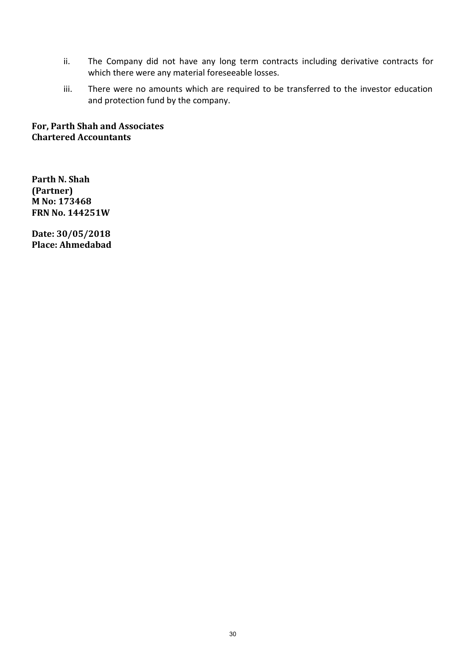- ii. The Company did not have any long term contracts including derivative contracts for which there were any material foreseeable losses.
- iii. There were no amounts which are required to be transferred to the investor education and protection fund by the company.

**For, Parth Shah and Associates Chartered Accountants**

**Parth N. Shah (Partner) M No: 173468 FRN No. 144251W** 

**Date: 30/05/2018 Place: Ahmedabad**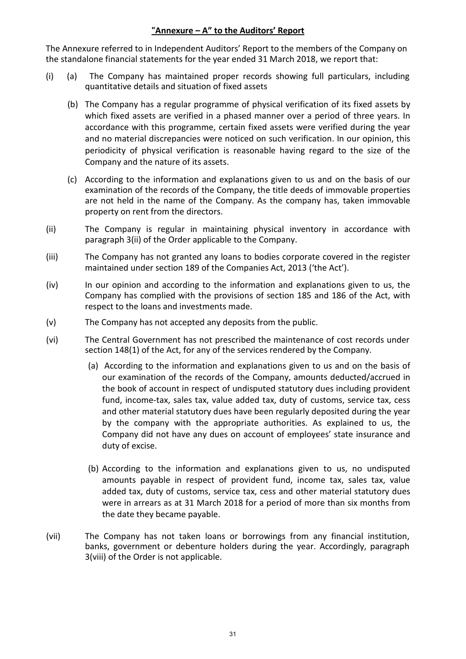# **"Annexure – A" to the Auditors' Report**

The Annexure referred to in Independent Auditors' Report to the members of the Company on the standalone financial statements for the year ended 31 March 2018, we report that:

- (i) (a) The Company has maintained proper records showing full particulars, including quantitative details and situation of fixed assets
	- (b) The Company has a regular programme of physical verification of its fixed assets by which fixed assets are verified in a phased manner over a period of three years. In accordance with this programme, certain fixed assets were verified during the year and no material discrepancies were noticed on such verification. In our opinion, this periodicity of physical verification is reasonable having regard to the size of the Company and the nature of its assets.
	- (c) According to the information and explanations given to us and on the basis of our examination of the records of the Company, the title deeds of immovable properties are not held in the name of the Company. As the company has, taken immovable property on rent from the directors.
- (ii) The Company is regular in maintaining physical inventory in accordance with paragraph 3(ii) of the Order applicable to the Company.
- (iii) The Company has not granted any loans to bodies corporate covered in the register maintained under section 189 of the Companies Act, 2013 ('the Act').
- (iv) In our opinion and according to the information and explanations given to us, the Company has complied with the provisions of section 185 and 186 of the Act, with respect to the loans and investments made.
- (v) The Company has not accepted any deposits from the public.
- (vi) The Central Government has not prescribed the maintenance of cost records under section 148(1) of the Act, for any of the services rendered by the Company.
	- (a) According to the information and explanations given to us and on the basis of our examination of the records of the Company, amounts deducted/accrued in the book of account in respect of undisputed statutory dues including provident fund, income-tax, sales tax, value added tax, duty of customs, service tax, cess and other material statutory dues have been regularly deposited during the year by the company with the appropriate authorities. As explained to us, the Company did not have any dues on account of employees' state insurance and duty of excise.
	- (b) According to the information and explanations given to us, no undisputed amounts payable in respect of provident fund, income tax, sales tax, value added tax, duty of customs, service tax, cess and other material statutory dues were in arrears as at 31 March 2018 for a period of more than six months from the date they became payable.
- (vii) The Company has not taken loans or borrowings from any financial institution, banks, government or debenture holders during the year. Accordingly, paragraph 3(viii) of the Order is not applicable.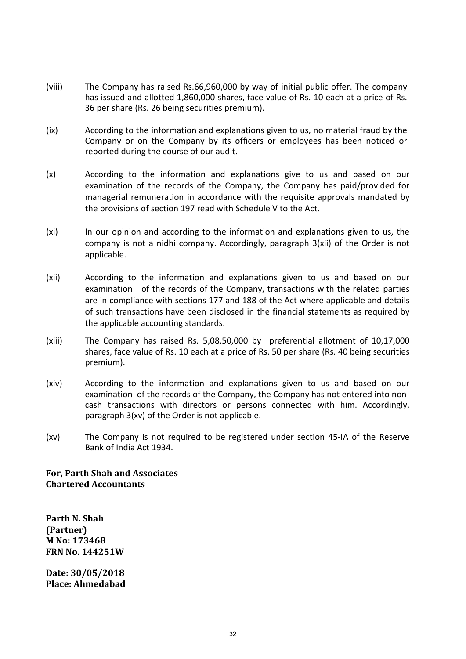- (viii) The Company has raised Rs.66,960,000 by way of initial public offer. The company has issued and allotted 1,860,000 shares, face value of Rs. 10 each at a price of Rs. 36 per share (Rs. 26 being securities premium).
- (ix) According to the information and explanations given to us, no material fraud by the Company or on the Company by its officers or employees has been noticed or reported during the course of our audit.
- (x) According to the information and explanations give to us and based on our examination of the records of the Company, the Company has paid/provided for managerial remuneration in accordance with the requisite approvals mandated by the provisions of section 197 read with Schedule V to the Act.
- (xi) In our opinion and according to the information and explanations given to us, the company is not a nidhi company. Accordingly, paragraph 3(xii) of the Order is not applicable.
- (xii) According to the information and explanations given to us and based on our examination of the records of the Company, transactions with the related parties are in compliance with sections 177 and 188 of the Act where applicable and details of such transactions have been disclosed in the financial statements as required by the applicable accounting standards.
- (xiii) The Company has raised Rs. 5,08,50,000 by preferential allotment of 10,17,000 shares, face value of Rs. 10 each at a price of Rs. 50 per share (Rs. 40 being securities premium).
- (xiv) According to the information and explanations given to us and based on our examination of the records of the Company, the Company has not entered into noncash transactions with directors or persons connected with him. Accordingly, paragraph 3(xv) of the Order is not applicable.
- (xv) The Company is not required to be registered under section 45-IA of the Reserve Bank of India Act 1934.

**For, Parth Shah and Associates Chartered Accountants**

**Parth N. Shah (Partner) M No: 173468 FRN No. 144251W**

**Date: 30/05/2018 Place: Ahmedabad**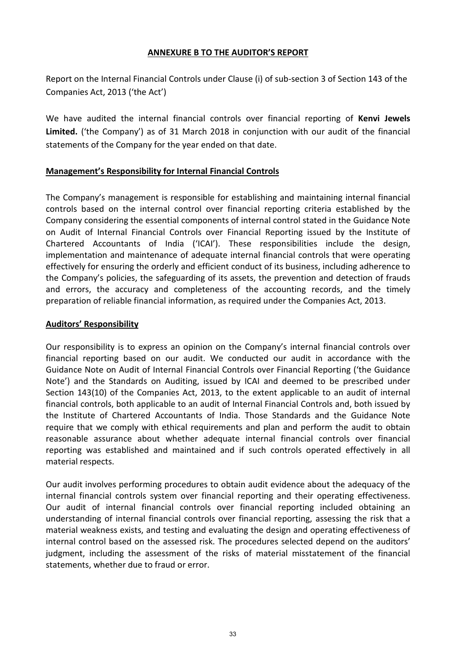# **ANNEXURE B TO THE AUDITOR'S REPORT**

Report on the Internal Financial Controls under Clause (i) of sub-section 3 of Section 143 of the Companies Act, 2013 ('the Act')

We have audited the internal financial controls over financial reporting of **Kenvi Jewels Limited.** ('the Company') as of 31 March 2018 in conjunction with our audit of the financial statements of the Company for the year ended on that date.

# **Management's Responsibility for Internal Financial Controls**

The Company's management is responsible for establishing and maintaining internal financial controls based on the internal control over financial reporting criteria established by the Company considering the essential components of internal control stated in the Guidance Note on Audit of Internal Financial Controls over Financial Reporting issued by the Institute of Chartered Accountants of India ('ICAI'). These responsibilities include the design, implementation and maintenance of adequate internal financial controls that were operating effectively for ensuring the orderly and efficient conduct of its business, including adherence to the Company's policies, the safeguarding of its assets, the prevention and detection of frauds and errors, the accuracy and completeness of the accounting records, and the timely preparation of reliable financial information, as required under the Companies Act, 2013.

# **Auditors' Responsibility**

Our responsibility is to express an opinion on the Company's internal financial controls over financial reporting based on our audit. We conducted our audit in accordance with the Guidance Note on Audit of Internal Financial Controls over Financial Reporting ('the Guidance Note') and the Standards on Auditing, issued by ICAI and deemed to be prescribed under Section 143(10) of the Companies Act, 2013, to the extent applicable to an audit of internal financial controls, both applicable to an audit of Internal Financial Controls and, both issued by the Institute of Chartered Accountants of India. Those Standards and the Guidance Note require that we comply with ethical requirements and plan and perform the audit to obtain reasonable assurance about whether adequate internal financial controls over financial reporting was established and maintained and if such controls operated effectively in all material respects.

Our audit involves performing procedures to obtain audit evidence about the adequacy of the internal financial controls system over financial reporting and their operating effectiveness. Our audit of internal financial controls over financial reporting included obtaining an understanding of internal financial controls over financial reporting, assessing the risk that a material weakness exists, and testing and evaluating the design and operating effectiveness of internal control based on the assessed risk. The procedures selected depend on the auditors' judgment, including the assessment of the risks of material misstatement of the financial statements, whether due to fraud or error.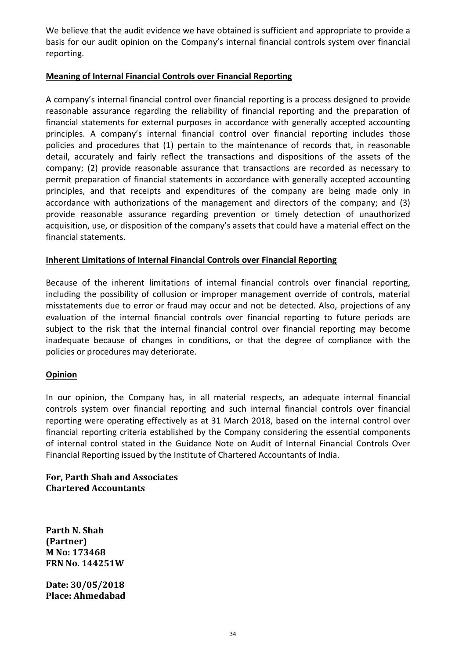We believe that the audit evidence we have obtained is sufficient and appropriate to provide a basis for our audit opinion on the Company's internal financial controls system over financial reporting.

# **Meaning of Internal Financial Controls over Financial Reporting**

A company's internal financial control over financial reporting is a process designed to provide reasonable assurance regarding the reliability of financial reporting and the preparation of financial statements for external purposes in accordance with generally accepted accounting principles. A company's internal financial control over financial reporting includes those policies and procedures that (1) pertain to the maintenance of records that, in reasonable detail, accurately and fairly reflect the transactions and dispositions of the assets of the company; (2) provide reasonable assurance that transactions are recorded as necessary to permit preparation of financial statements in accordance with generally accepted accounting principles, and that receipts and expenditures of the company are being made only in accordance with authorizations of the management and directors of the company; and (3) provide reasonable assurance regarding prevention or timely detection of unauthorized acquisition, use, or disposition of the company's assets that could have a material effect on the financial statements.

# **Inherent Limitations of Internal Financial Controls over Financial Reporting**

Because of the inherent limitations of internal financial controls over financial reporting, including the possibility of collusion or improper management override of controls, material misstatements due to error or fraud may occur and not be detected. Also, projections of any evaluation of the internal financial controls over financial reporting to future periods are subject to the risk that the internal financial control over financial reporting may become inadequate because of changes in conditions, or that the degree of compliance with the policies or procedures may deteriorate.

# **Opinion**

In our opinion, the Company has, in all material respects, an adequate internal financial controls system over financial reporting and such internal financial controls over financial reporting were operating effectively as at 31 March 2018, based on the internal control over financial reporting criteria established by the Company considering the essential components of internal control stated in the Guidance Note on Audit of Internal Financial Controls Over Financial Reporting issued by the Institute of Chartered Accountants of India.

# **For, Parth Shah and Associates Chartered Accountants**

**Parth N. Shah (Partner) M No: 173468 FRN No. 144251W**

**Date: 30/05/2018 Place: Ahmedabad**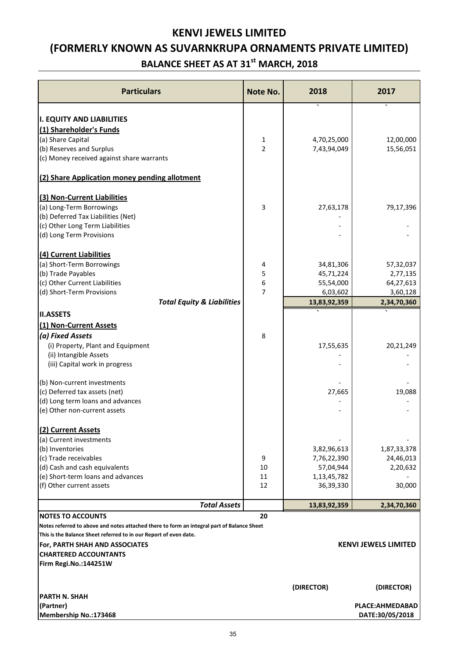# **(FORMERLY KNOWN AS SUVARNKRUPA ORNAMENTS PRIVATE LIMITED)**

# **BALANCE SHEET AS AT 31st MARCH, 2018**

| <b>Particulars</b>                                                                         | Note No.       | 2018         | 2017                        |
|--------------------------------------------------------------------------------------------|----------------|--------------|-----------------------------|
|                                                                                            |                |              |                             |
| <b>I. EQUITY AND LIABILITIES</b>                                                           |                |              |                             |
| (1) Shareholder's Funds                                                                    |                |              |                             |
| (a) Share Capital                                                                          | 1              | 4,70,25,000  | 12,00,000                   |
| (b) Reserves and Surplus<br>(c) Money received against share warrants                      | $\overline{2}$ | 7,43,94,049  | 15,56,051                   |
|                                                                                            |                |              |                             |
| (2) Share Application money pending allotment                                              |                |              |                             |
| (3) Non-Current Liabilities                                                                |                |              |                             |
| (a) Long-Term Borrowings                                                                   | 3              | 27,63,178    | 79,17,396                   |
| (b) Deferred Tax Liabilities (Net)                                                         |                |              |                             |
| (c) Other Long Term Liabilities                                                            |                |              |                             |
| (d) Long Term Provisions                                                                   |                |              |                             |
| (4) Current Liabilities                                                                    |                |              |                             |
| (a) Short-Term Borrowings                                                                  | 4              | 34,81,306    | 57,32,037                   |
| (b) Trade Payables                                                                         | 5              | 45,71,224    | 2,77,135                    |
| (c) Other Current Liabilities                                                              | 6              | 55,54,000    | 64,27,613                   |
| (d) Short-Term Provisions                                                                  | 7              | 6,03,602     | 3,60,128                    |
| <b>Total Equity &amp; Liabilities</b>                                                      |                | 13,83,92,359 | 2,34,70,360                 |
| <b>II.ASSETS</b>                                                                           |                |              |                             |
| (1) Non-Current Assets                                                                     |                |              |                             |
| (a) Fixed Assets                                                                           | 8              |              |                             |
| (i) Property, Plant and Equipment                                                          |                | 17,55,635    | 20,21,249                   |
| (ii) Intangible Assets                                                                     |                |              |                             |
| (iii) Capital work in progress                                                             |                |              |                             |
| (b) Non-current investments                                                                |                |              |                             |
| (c) Deferred tax assets (net)                                                              |                | 27,665       | 19,088                      |
| (d) Long term loans and advances                                                           |                |              |                             |
| (e) Other non-current assets                                                               |                |              |                             |
| (2) Current Assets                                                                         |                |              |                             |
| (a) Current investments                                                                    |                |              |                             |
| (b) Inventories                                                                            |                | 3,82,96,613  | 1,87,33,378                 |
| (c) Trade receivables                                                                      | 9              | 7,76,22,390  | 24,46,013                   |
| (d) Cash and cash equivalents                                                              | 10             | 57,04,944    | 2,20,632                    |
| (e) Short-term loans and advances                                                          | 11             | 1,13,45,782  |                             |
| (f) Other current assets                                                                   | 12             | 36,39,330    | 30,000                      |
| <b>Total Assets</b>                                                                        |                | 13,83,92,359 | 2,34,70,360                 |
| <b>NOTES TO ACCOUNTS</b>                                                                   | 20             |              |                             |
| Notes referred to above and notes attached there to form an integral part of Balance Sheet |                |              |                             |
| This is the Balance Sheet referred to in our Report of even date.                          |                |              |                             |
| For, PARTH SHAH AND ASSOCIATES                                                             |                |              | <b>KENVI JEWELS LIMITED</b> |
| <b>CHARTERED ACCOUNTANTS</b>                                                               |                |              |                             |
| Firm Regi.No.:144251W                                                                      |                |              |                             |
|                                                                                            |                | (DIRECTOR)   | (DIRECTOR)                  |
| <b>PARTH N. SHAH</b>                                                                       |                |              |                             |
| (Partner)                                                                                  |                |              | PLACE: AHMEDABAD            |
| Membership No.:173468                                                                      |                |              | DATE:30/05/2018             |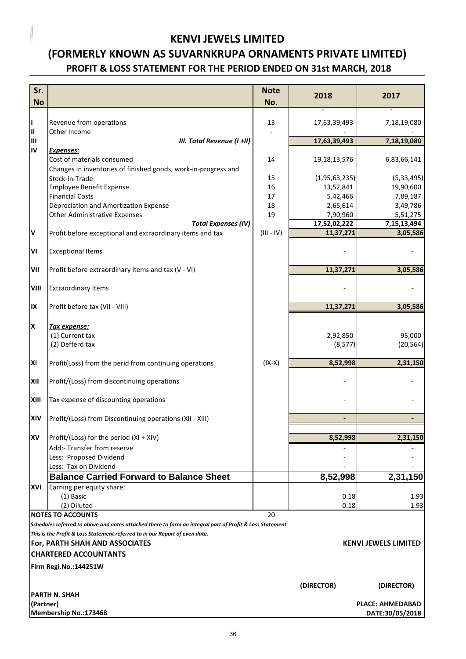# **KENVI JEWELS LIMITED (FORMERLY KNOWN AS SUVARNKRUPA ORNAMENTS PRIVATE LIMITED) PROFIT & LOSS STATEMENT FOR THE PERIOD ENDED ON 31st MARCH, 2018**

| Sr.                          |                                                                                                          | <b>Note</b>  | 2018                  | 2017                        |  |
|------------------------------|----------------------------------------------------------------------------------------------------------|--------------|-----------------------|-----------------------------|--|
| <b>No</b>                    |                                                                                                          | No.          |                       |                             |  |
|                              |                                                                                                          |              |                       |                             |  |
| П                            | Revenue from operations                                                                                  | 13           | 17,63,39,493          | 7,18,19,080                 |  |
| Iп                           | Other Income                                                                                             |              |                       |                             |  |
| IШ                           | III. Total Revenue (I +II)                                                                               |              | 17,63,39,493          | 7,18,19,080                 |  |
| IV                           | <b>Expenses:</b>                                                                                         |              |                       |                             |  |
|                              | Cost of materials consumed                                                                               | 14           | 19, 18, 13, 576       | 6,83,66,141                 |  |
|                              | Changes in inventories of finished goods, work-in-progress and                                           |              |                       |                             |  |
|                              | Stock-in-Trade                                                                                           | 15           | (1,95,63,235)         | (5, 33, 495)                |  |
|                              | <b>Employee Benefit Expense</b><br><b>Financial Costs</b>                                                | 16<br>17     | 13,52,841<br>5,42,466 | 19,90,600<br>7,89,187       |  |
|                              | Depreciation and Amortization Expense                                                                    | 18           | 2,65,614              | 3,49,786                    |  |
|                              | <b>Other Administrative Expenses</b>                                                                     | 19           | 7,90,960              | 5,51,275                    |  |
|                              | <b>Total Expenses (IV)</b>                                                                               |              | 17,52,02,222          | 7, 15, 13, 494              |  |
| V                            | Profit before exceptional and extraordinary items and tax                                                | $(III - IV)$ | 11,37,271             | 3,05,586                    |  |
|                              |                                                                                                          |              |                       |                             |  |
| ٧I                           | <b>Exceptional Items</b>                                                                                 |              |                       |                             |  |
| VII                          | Profit before extraordinary items and tax (V - VI)                                                       |              |                       | 3,05,586                    |  |
|                              |                                                                                                          |              | 11,37,271             |                             |  |
| VIII                         | <b>Extraordinary Items</b>                                                                               |              |                       |                             |  |
| IX                           | Profit before tax (VII - VIII)                                                                           |              | 11,37,271             | 3,05,586                    |  |
|                              |                                                                                                          |              |                       |                             |  |
| X                            | Tax expense:                                                                                             |              |                       |                             |  |
|                              | (1) Current tax                                                                                          |              | 2,92,850              | 95,000                      |  |
|                              | (2) Defferd tax                                                                                          |              | (8, 577)              | (20, 564)                   |  |
| XI                           | Profit(Loss) from the perid from continuing operations                                                   | $(IX-X)$     | 8,52,998              | 2,31,150                    |  |
| XII                          | Profit/(Loss) from discontinuing operations                                                              |              |                       |                             |  |
| XIII                         | Tax expense of discounting operations                                                                    |              |                       |                             |  |
| XIV                          | Profit/(Loss) from Discontinuing operations (XII - XIII)                                                 |              |                       |                             |  |
| XV                           | Profit/(Loss) for the period (XI + XIV)                                                                  |              | 8,52,998              | 2,31,150                    |  |
|                              | Add:- Transfer from reserve                                                                              |              |                       |                             |  |
|                              | Less: Proposed Dividend                                                                                  |              |                       |                             |  |
|                              | Less: Tax on Dividend                                                                                    |              |                       |                             |  |
|                              | <b>Balance Carried Forward to Balance Sheet</b>                                                          |              | 8,52,998              | 2,31,150                    |  |
| XVI                          | Earning per equity share:                                                                                |              |                       |                             |  |
|                              | (1) Basic                                                                                                |              | 0.18                  | 1.93                        |  |
|                              | (2) Diluted                                                                                              |              | 0.18                  | 1.93                        |  |
|                              | <b>NOTES TO ACCOUNTS</b>                                                                                 | 20           |                       |                             |  |
|                              | Schedules referred to above and notes attached there to form an integral part of Profit & Loss Statement |              |                       |                             |  |
|                              | This is the Profit & Loss Statement referred to in our Report of even date.                              |              |                       |                             |  |
|                              | For, PARTH SHAH AND ASSOCIATES                                                                           |              |                       | <b>KENVI JEWELS LIMITED</b> |  |
| <b>CHARTERED ACCOUNTANTS</b> |                                                                                                          |              |                       |                             |  |
|                              | Firm Regi.No.:144251W                                                                                    |              |                       |                             |  |
|                              |                                                                                                          |              | (DIRECTOR)            | (DIRECTOR)                  |  |
| (Partner)                    | <b>PARTH N. SHAH</b>                                                                                     |              |                       | <b>PLACE: AHMEDABAD</b>     |  |
|                              | Membership No.: 173468                                                                                   |              |                       | DATE:30/05/2018             |  |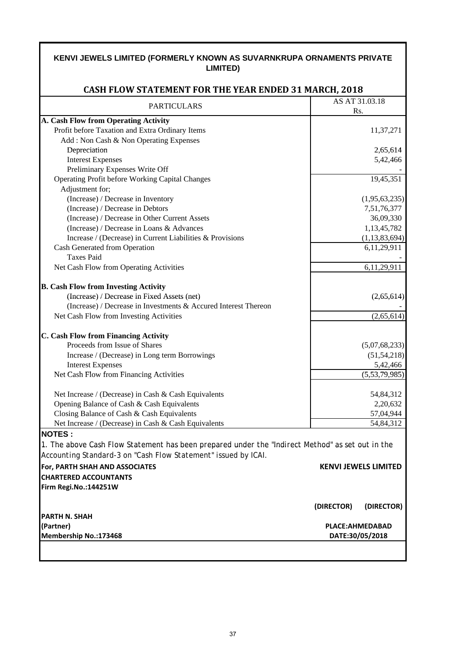# **KENVI JEWELS LIMITED (FORMERLY KNOWN AS SUVARNKRUPA ORNAMENTS PRIVATE LIMITED)**

| <b>CASH FLOW STATEMENT FOR THE YEAR ENDED 31 MARCH, 2018</b>                                     |            |                             |  |
|--------------------------------------------------------------------------------------------------|------------|-----------------------------|--|
| <b>PARTICULARS</b>                                                                               |            | AS AT 31.03.18              |  |
|                                                                                                  | Rs.        |                             |  |
| A. Cash Flow from Operating Activity                                                             |            |                             |  |
| Profit before Taxation and Extra Ordinary Items                                                  |            | 11,37,271                   |  |
| Add: Non Cash & Non Operating Expenses                                                           |            |                             |  |
| Depreciation                                                                                     |            | 2,65,614                    |  |
| <b>Interest Expenses</b>                                                                         |            | 5,42,466                    |  |
| Preliminary Expenses Write Off                                                                   |            |                             |  |
| Operating Profit before Working Capital Changes                                                  |            | 19,45,351                   |  |
| Adjustment for;                                                                                  |            |                             |  |
| (Increase) / Decrease in Inventory                                                               |            | (1,95,63,235)               |  |
| (Increase) / Decrease in Debtors                                                                 |            | 7,51,76,377                 |  |
| (Increase) / Decrease in Other Current Assets                                                    |            | 36,09,330                   |  |
| (Increase) / Decrease in Loans & Advances                                                        |            | 1,13,45,782                 |  |
| Increase / (Decrease) in Current Liabilities & Provisions                                        |            | (1, 13, 83, 694)            |  |
| Cash Generated from Operation                                                                    |            | 6,11,29,911                 |  |
| <b>Taxes Paid</b>                                                                                |            |                             |  |
| Net Cash Flow from Operating Activities                                                          |            | 6,11,29,911                 |  |
| <b>B. Cash Flow from Investing Activity</b>                                                      |            |                             |  |
| (Increase) / Decrease in Fixed Assets (net)                                                      |            | (2,65,614)                  |  |
| (Increase) / Decrease in Investments & Accured Interest Thereon                                  |            |                             |  |
| Net Cash Flow from Investing Activities                                                          |            | (2,65,614)                  |  |
| C. Cash Flow from Financing Activity                                                             |            |                             |  |
| Proceeds from Issue of Shares                                                                    |            | (5,07,68,233)               |  |
| Increase / (Decrease) in Long term Borrowings                                                    |            | (51, 54, 218)               |  |
| <b>Interest Expenses</b>                                                                         |            | 5,42,466                    |  |
| Net Cash Flow from Financing Activities                                                          |            | (5,53,79,985)               |  |
| Net Increase / (Decrease) in Cash & Cash Equivalents                                             |            | 54,84,312                   |  |
| Opening Balance of Cash & Cash Equivalents                                                       |            | 2,20,632                    |  |
| Closing Balance of Cash & Cash Equivalents                                                       |            | 57,04,944                   |  |
| Net Increase / (Decrease) in Cash & Cash Equivalents                                             |            | 54,84,312                   |  |
| <b>NOTES:</b>                                                                                    |            |                             |  |
| 1. The above Cash Flow Statement has been prepared under the "Indirect Method" as set out in the |            |                             |  |
| Accounting Standard-3 on "Cash Flow Statement" issued by ICAI.                                   |            |                             |  |
| For, PARTH SHAH AND ASSOCIATES                                                                   |            | <b>KENVI JEWELS LIMITED</b> |  |
| <b>CHARTERED ACCOUNTANTS</b>                                                                     |            |                             |  |
| Firm Regi.No.:144251W                                                                            |            |                             |  |
|                                                                                                  | (DIRECTOR) | (DIRECTOR)                  |  |
| <b>PARTH N. SHAH</b>                                                                             |            |                             |  |
| (Partner)                                                                                        |            | PLACE: AHMEDABAD            |  |
| Membership No.:173468                                                                            |            | DATE:30/05/2018             |  |
|                                                                                                  |            |                             |  |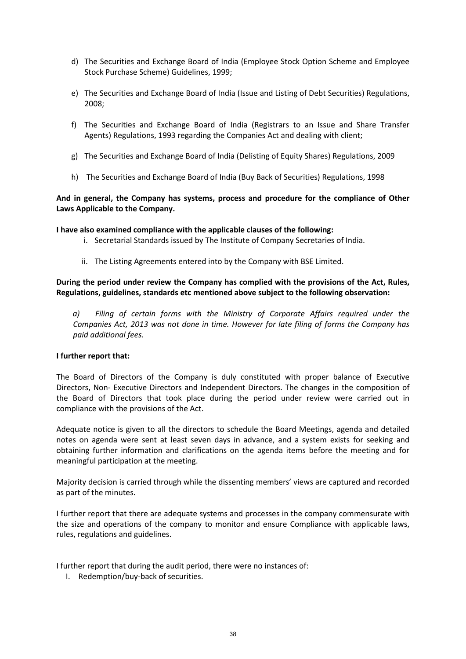- d) The Securities and Exchange Board of India (Employee Stock Option Scheme and Employee Stock Purchase Scheme) Guidelines, 1999;
- e) The Securities and Exchange Board of India (Issue and Listing of Debt Securities) Regulations, 2008;
- f) The Securities and Exchange Board of India (Registrars to an Issue and Share Transfer Agents) Regulations, 1993 regarding the Companies Act and dealing with client;
- g) The Securities and Exchange Board of India (Delisting of Equity Shares) Regulations, 2009
- h) The Securities and Exchange Board of India (Buy Back of Securities) Regulations, 1998

# **And in general, the Company has systems, process and procedure for the compliance of Other Laws Applicable to the Company.**

#### **I have also examined compliance with the applicable clauses of the following:**

- i. Secretarial Standards issued by The Institute of Company Secretaries of India.
- ii. The Listing Agreements entered into by the Company with BSE Limited.

# **During the period under review the Company has complied with the provisions of the Act, Rules, Regulations, guidelines, standards etc mentioned above subject to the following observation:**

*a) Filing of certain forms with the Ministry of Corporate Affairs required under the Companies Act, 2013 was not done in time. However for late filing of forms the Company has paid additional fees.*

#### **I further report that:**

The Board of Directors of the Company is duly constituted with proper balance of Executive Directors, Non‐ Executive Directors and Independent Directors. The changes in the composition of the Board of Directors that took place during the period under review were carried out in compliance with the provisions of the Act.

Adequate notice is given to all the directors to schedule the Board Meetings, agenda and detailed notes on agenda were sent at least seven days in advance, and a system exists for seeking and obtaining further information and clarifications on the agenda items before the meeting and for meaningful participation at the meeting.

Majority decision is carried through while the dissenting members' views are captured and recorded as part of the minutes.

I further report that there are adequate systems and processes in the company commensurate with the size and operations of the company to monitor and ensure Compliance with applicable laws, rules, regulations and guidelines.

I further report that during the audit period, there were no instances of:

I. Redemption/buy‐back of securities.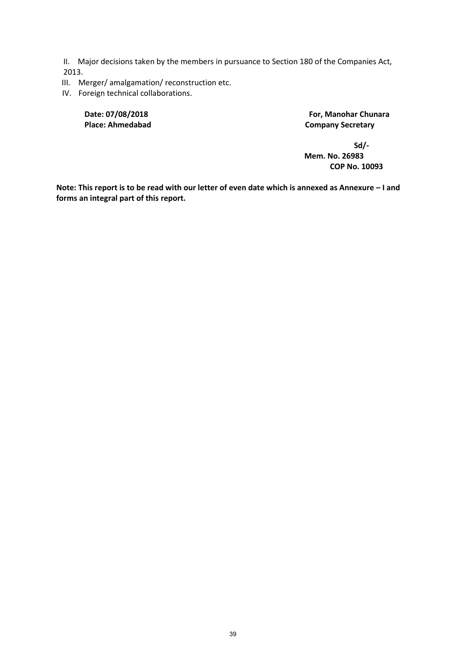II. Major decisions taken by the members in pursuance to Section 180 of the Companies Act, 2013.

- III. Merger/ amalgamation/ reconstruction etc.
- IV. Foreign technical collaborations.

**Date: 07/08/2018 For, Manohar Chunara Place: Ahmedabad Company Secretary** 

> **Sd/- Mem. No. 26983 COP No. 10093**

**Note: This report is to be read with our letter of even date which is annexed as Annexure – I and forms an integral part of this report.**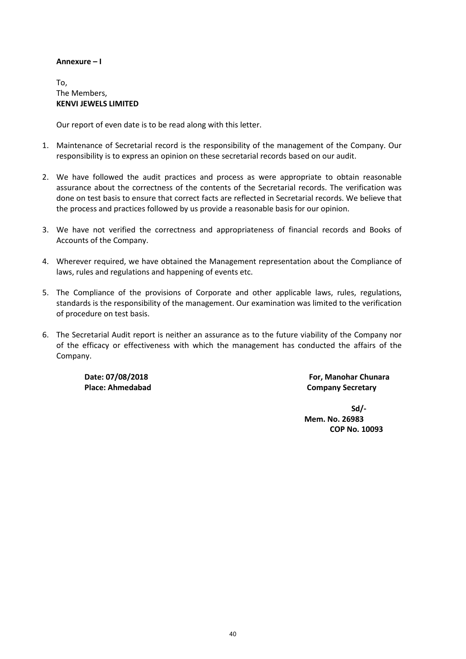#### **Annexure – I**

To, The Members, **KENVI JEWELS LIMITED** 

Our report of even date is to be read along with this letter.

- 1. Maintenance of Secretarial record is the responsibility of the management of the Company. Our responsibility is to express an opinion on these secretarial records based on our audit.
- 2. We have followed the audit practices and process as were appropriate to obtain reasonable assurance about the correctness of the contents of the Secretarial records. The verification was done on test basis to ensure that correct facts are reflected in Secretarial records. We believe that the process and practices followed by us provide a reasonable basis for our opinion.
- 3. We have not verified the correctness and appropriateness of financial records and Books of Accounts of the Company.
- 4. Wherever required, we have obtained the Management representation about the Compliance of laws, rules and regulations and happening of events etc.
- 5. The Compliance of the provisions of Corporate and other applicable laws, rules, regulations, standards is the responsibility of the management. Our examination was limited to the verification of procedure on test basis.
- 6. The Secretarial Audit report is neither an assurance as to the future viability of the Company nor of the efficacy or effectiveness with which the management has conducted the affairs of the Company.

**Date: 07/08/2018 For, Manohar Chunara Place: Ahmedabad Company Secretary** 

> **Sd/- Mem. No. 26983 COP No. 10093**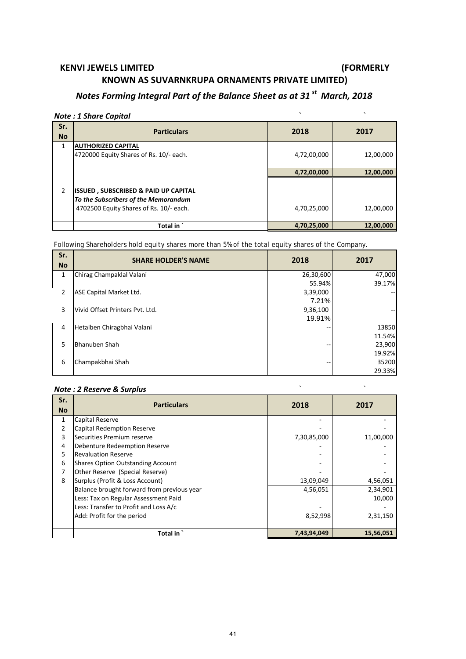# **KENVI JEWELS LIMITED (FORMERLY**

# **KNOWN AS SUVARNKRUPA ORNAMENTS PRIVATE LIMITED)**

# *Notes Forming Integral Part of the Balance Sheet as at 31 st March, 2018*

#### *Note* : 1 Share Capital

| Sr.<br><b>No</b> | <b>Particulars</b>                                                                                                                 | 2018        | 2017      |
|------------------|------------------------------------------------------------------------------------------------------------------------------------|-------------|-----------|
| 1                | <b>AUTHORIZED CAPITAL</b><br>4720000 Equity Shares of Rs. 10/- each.                                                               | 4,72,00,000 | 12,00,000 |
|                  |                                                                                                                                    | 4,72,00,000 | 12,00,000 |
| 2                | <b>ISSUED, SUBSCRIBED &amp; PAID UP CAPITAL</b><br>To the Subscribers of the Memorandum<br>4702500 Equity Shares of Rs. 10/- each. | 4,70,25,000 | 12,00,000 |
|                  | Total in                                                                                                                           | 4,70,25,000 | 12,00,000 |

Following Shareholders hold equity shares more than 5% of the total equity shares of the Company.

| Sr.<br><b>No</b> | <b>SHARE HOLDER'S NAME</b>      | 2018      | 2017   |
|------------------|---------------------------------|-----------|--------|
| 1                | Chirag Champaklal Valani        | 26,30,600 | 47,000 |
|                  |                                 | 55.94%    | 39.17% |
| 2                | ASE Capital Market Ltd.         | 3,39,000  |        |
|                  |                                 | 7.21%     |        |
| 3                | Vivid Offset Printers Pvt. Ltd. | 9,36,100  |        |
|                  |                                 | 19.91%    |        |
| $\overline{4}$   | Hetalben Chiragbhai Valani      |           | 13850  |
|                  |                                 |           | 11.54% |
| 5                | <b>Bhanuben Shah</b>            |           | 23,900 |
|                  |                                 |           | 19.92% |
| 6                | Champakbhai Shah                |           | 35200  |
|                  |                                 |           | 29.33% |

# *Note : 2 Reserve & Surplus*  $\sim$

| Sr.       | <b>Particulars</b>                         | 2018        | 2017      |
|-----------|--------------------------------------------|-------------|-----------|
| <b>No</b> |                                            |             |           |
| 1         | Capital Reserve                            |             |           |
| 2         | <b>Capital Redemption Reserve</b>          |             |           |
| 3         | Securities Premium reserve                 | 7,30,85,000 | 11,00,000 |
| 4         | Debenture Redeemption Reserve              |             |           |
| 5         | <b>Revaluation Reserve</b>                 |             |           |
| 6         | <b>Shares Option Outstanding Account</b>   |             |           |
| 7         | Other Reserve (Special Reserve)            |             |           |
| 8         | Surplus (Profit & Loss Account)            | 13,09,049   | 4,56,051  |
|           | Balance brought forward from previous year | 4,56,051    | 2,34,901  |
|           | Less: Tax on Regular Assessment Paid       |             | 10,000    |
|           | Less: Transfer to Profit and Loss A/c      |             |           |
|           | Add: Profit for the period                 | 8,52,998    | 2,31,150  |
|           | <b>Total in</b>                            | 7,43,94,049 | 15,56,051 |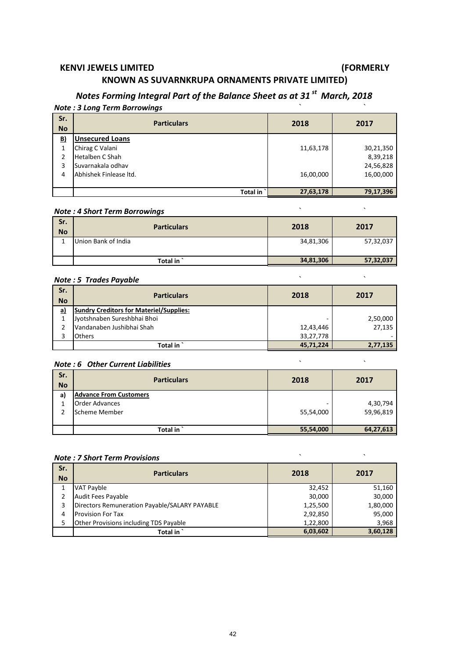# **KENVI JEWELS LIMITED (FORMERLY**

# **KNOWN AS SUVARNKRUPA ORNAMENTS PRIVATE LIMITED)**

# *Notes Forming Integral Part of the Balance Sheet as at 31 st March, 2018 Note : 3 Long Term Borrowings* ` `

| Sr.<br><b>No</b>         | <b>Particulars</b>     | 2018      | 2017      |
|--------------------------|------------------------|-----------|-----------|
| $\underline{\mathsf{B}}$ | <b>Unsecured Loans</b> |           |           |
| 1                        | Chirag C Valani        | 11,63,178 | 30,21,350 |
| 2                        | Hetalben C Shah        |           | 8,39,218  |
| 3                        | Suvarnakala odhav      |           | 24,56,828 |
| 4                        | Abhishek Finlease Itd. | 16,00,000 | 16,00,000 |
|                          |                        |           |           |
|                          | Total in               | 27,63,178 | 79,17,396 |

# *Note : 4 Short Term Borrowings*  $\sim$

| Sr.<br><b>No</b> | <b>Particulars</b>  | 2018      | 2017      |
|------------------|---------------------|-----------|-----------|
|                  | Union Bank of India | 34,81,306 | 57,32,037 |
|                  | <b>Total in</b>     | 34,81,306 | 57,32,037 |

# *Note : 5 Trades Payable*  $\sim$

| Sr.<br><b>No</b> | <b>Particulars</b>                             | 2018      | 2017     |
|------------------|------------------------------------------------|-----------|----------|
| <u>a)</u>        | <b>Sundry Creditors for Materiel/Supplies:</b> |           |          |
|                  | Jyotshnaben Sureshbhai Bhoi                    |           | 2,50,000 |
|                  | Vandanaben Jushibhai Shah                      | 12,43,446 | 27,135   |
| ς                | <b>Others</b>                                  | 33,27,778 |          |
|                  | Total in                                       | 45,71,224 | 2,77,135 |

#### *Note : 6 Other Current Liabilities* ` `

| Sr.<br><b>No</b> | <b>Particulars</b>            | 2018      | 2017      |
|------------------|-------------------------------|-----------|-----------|
| a)               | <b>Advance From Customers</b> |           |           |
|                  | <b>Order Advances</b>         |           | 4,30,794  |
|                  | Scheme Member                 | 55,54,000 | 59,96,819 |
|                  |                               |           |           |
|                  | <b>Total in</b>               | 55,54,000 | 64,27,613 |

# *Note : 7 Short Term Provisions* ` `

| Sr.<br><b>No</b> | <b>Particulars</b>                            | 2018     | 2017     |
|------------------|-----------------------------------------------|----------|----------|
|                  | <b>VAT Payble</b>                             | 32,452   | 51,160   |
|                  | Audit Fees Payable                            | 30,000   | 30,000   |
| 3                | Directors Remuneration Payable/SALARY PAYABLE | 1,25,500 | 1,80,000 |
| 4                | <b>Provision For Tax</b>                      | 2,92,850 | 95,000   |
| 5                | Other Provisions including TDS Payable        | 1,22,800 | 3,968    |
|                  | Total in                                      | 6,03,602 | 3,60,128 |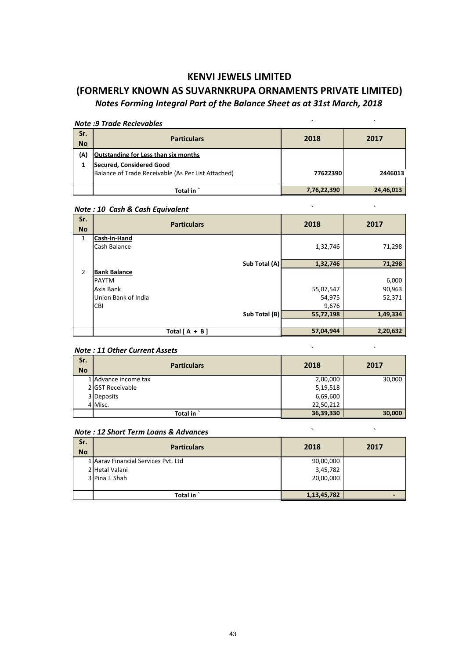# **(FORMERLY KNOWN AS SUVARNKRUPA ORNAMENTS PRIVATE LIMITED)**

# *Notes Forming Integral Part of the Balance Sheet as at 31st March, 2018*

| Sr.<br><b>No</b> | <b>Particulars</b>                                                                                                                   | 2018        | 2017      |
|------------------|--------------------------------------------------------------------------------------------------------------------------------------|-------------|-----------|
| (A)              | <b>Outstanding for Less than six months</b><br><b>Secured, Considered Good</b><br>Balance of Trade Receivable (As Per List Attached) | 77622390    | 2446013   |
|                  | Total in                                                                                                                             | 7,76,22,390 | 24,46,013 |

# *Note :9 Trade Recievables* ` `

# **Note : 10 Cash & Cash Equivalent** *Note Note notational <b><i>notation***ism**

| Sr.<br><b>No</b> | <b>Particulars</b>  |               | 2018      | 2017     |
|------------------|---------------------|---------------|-----------|----------|
| 1                | Cash-in-Hand        |               |           |          |
|                  | Cash Balance        |               | 1,32,746  | 71,298   |
|                  |                     |               |           |          |
|                  |                     | Sub Total (A) | 1,32,746  | 71,298   |
| $\overline{2}$   | <b>Bank Balance</b> |               |           |          |
|                  | <b>PAYTM</b>        |               |           | 6,000    |
|                  | Axis Bank           |               | 55,07,547 | 90,963   |
|                  | Union Bank of India |               | 54,975    | 52,371   |
|                  | CBI                 |               | 9,676     |          |
|                  |                     | Sub Total (B) | 55,72,198 | 1,49,334 |
|                  |                     |               |           |          |
|                  | Total $[A + B]$     |               | 57,04,944 | 2,20,632 |

# *Note : 11 Other Current Assets*  $\sim$

| Sr.<br><b>No</b> | <b>Particulars</b>   | 2018      | 2017   |
|------------------|----------------------|-----------|--------|
|                  | 1 Advance income tax | 2,00,000  | 30,000 |
|                  | 2 GST Receivable     | 5,19,518  |        |
|                  | 3 Deposits           | 6,69,600  |        |
|                  | 4 Misc.              | 22,50,212 |        |
|                  | Total in             | 36,39,330 | 30,000 |

# *Note : 12 Short Term Loans & Advances* ` `

| Sr.<br><b>No</b> | <b>Particulars</b>                  | 2018        | 2017 |
|------------------|-------------------------------------|-------------|------|
|                  | 1 Aarav Financial Services Pvt. Ltd | 90,00,000   |      |
|                  | 2 Hetal Valani                      | 3,45,782    |      |
|                  | 3 Pina J. Shah                      | 20,00,000   |      |
|                  |                                     |             |      |
|                  | Total in                            | 1,13,45,782 |      |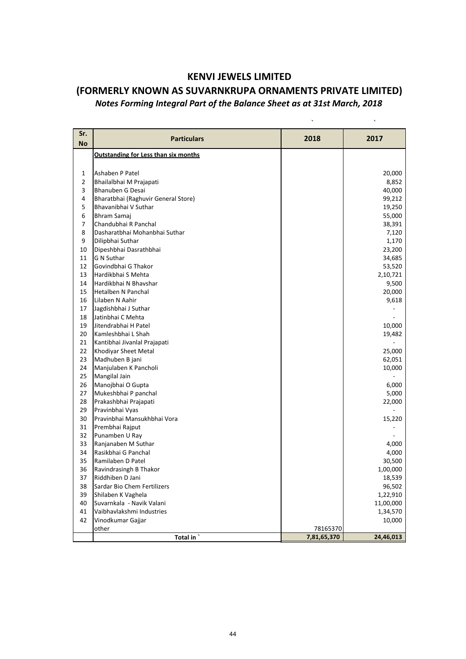# **(FORMERLY KNOWN AS SUVARNKRUPA ORNAMENTS PRIVATE LIMITED)**

*Notes Forming Integral Part of the Balance Sheet as at 31st March, 2018*

| Sr.<br><b>No</b> | <b>Particulars</b>                          | 2018        | 2017      |
|------------------|---------------------------------------------|-------------|-----------|
|                  |                                             |             |           |
|                  | <b>Outstanding for Less than six months</b> |             |           |
|                  |                                             |             |           |
| 1                | Ashaben P Patel                             |             | 20,000    |
| $\overline{2}$   | Bhailalbhai M Prajapati                     |             | 8,852     |
| 3                | Bhanuben G Desai                            |             | 40,000    |
| 4                | Bharatbhai (Raghuvir General Store)         |             | 99,212    |
| 5                | Bhavanibhai V Suthar                        |             | 19,250    |
| 6                | Bhram Samaj                                 |             | 55,000    |
| $\overline{7}$   | Chandubhai R Panchal                        |             | 38,391    |
| 8                | Dasharatbhai Mohanbhai Suthar               |             | 7,120     |
| 9                | Dilipbhai Suthar                            |             | 1,170     |
| 10               | Dipeshbhai Dasrathbhai                      |             | 23,200    |
| 11               | <b>G N Suthar</b>                           |             | 34,685    |
| 12               | Govindbhai G Thakor                         |             | 53,520    |
| 13               | Hardikbhai S Mehta                          |             | 2,10,721  |
| 14               | Hardikbhai N Bhavshar                       |             | 9,500     |
| 15               | Hetalben N Panchal                          |             | 20,000    |
| 16               | Lilaben N Aahir                             |             | 9,618     |
| 17               | Jagdishbhai J Suthar                        |             |           |
| 18               | Jatinbhai C Mehta                           |             |           |
| 19               | Jitendrabhai H Patel                        |             | 10,000    |
| 20               | Kamleshbhai L Shah                          |             | 19,482    |
| 21               | Kantibhai Jivanlal Prajapati                |             |           |
| 22               | Khodiyar Sheet Metal                        |             | 25,000    |
| 23               | Madhuben B jani                             |             | 62,051    |
| 24               | Manjulaben K Pancholi                       |             | 10,000    |
| 25               | Mangilal Jain                               |             |           |
| 26               | Manojbhai O Gupta                           |             | 6,000     |
| 27               | Mukeshbhai P panchal                        |             | 5,000     |
| 28               | Prakashbhai Prajapati                       |             | 22,000    |
| 29               | Pravinbhai Vyas                             |             |           |
| 30               | Pravinbhai Mansukhbhai Vora                 |             | 15,220    |
| 31               | Prembhai Rajput                             |             |           |
| 32               | Punamben U Ray                              |             |           |
| 33               | Ranjanaben M Suthar                         |             | 4,000     |
| 34               | Rasikbhai G Panchal                         |             | 4,000     |
| 35               | Ramilaben D Patel                           |             | 30,500    |
| 36               | Ravindrasingh B Thakor                      |             | 1,00,000  |
| 37               | Riddhiben D Jani                            |             | 18,539    |
| 38               | Sardar Bio Chem Fertilizers                 |             | 96,502    |
| 39               | Shilaben K Vaghela                          |             | 1,22,910  |
| 40               | Suvarnkala - Navik Valani                   |             | 11,00,000 |
| 41               | Vaibhavlakshmi Industries                   |             | 1,34,570  |
| 42               | Vinodkumar Gajjar                           |             | 10,000    |
|                  | other                                       | 78165370    |           |
|                  | Total in                                    | 7,81,65,370 | 24,46,013 |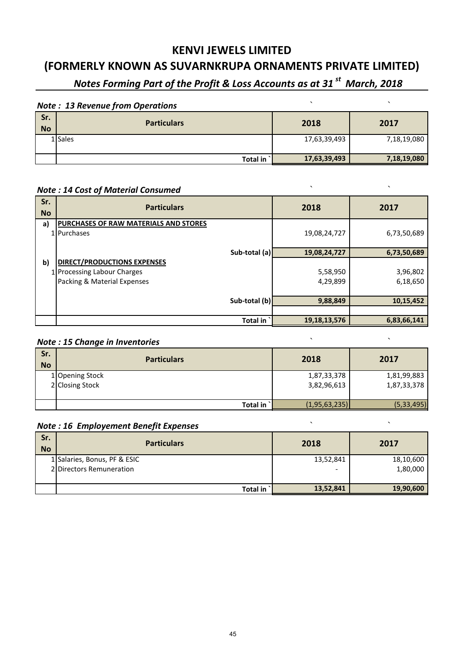# **(FORMERLY KNOWN AS SUVARNKRUPA ORNAMENTS PRIVATE LIMITED)**

 *Notes Forming Part of the Profit & Loss Accounts as at 31 st March, 2018*

|                  | <b>Note: 13 Revenue from Operations</b> |              |             |
|------------------|-----------------------------------------|--------------|-------------|
| Sr.<br><b>No</b> | <b>Particulars</b>                      | 2018         | 2017        |
|                  | 1 <b>S</b> ales                         | 17,63,39,493 | 7,18,19,080 |
|                  | <b>Total in</b>                         | 17,63,39,493 | 7,18,19,080 |

# *Note : 14 Cost of Material Consumed* ` `

| Sr.<br><b>No</b> | <b>Particulars</b>                                                                                         | 2018                                 | 2017                                |
|------------------|------------------------------------------------------------------------------------------------------------|--------------------------------------|-------------------------------------|
| a)               | PURCHASES OF RAW MATERIALS AND STORES<br>1 Purchases                                                       | 19,08,24,727                         | 6,73,50,689                         |
| b)               | Sub-total (a)<br>DIRECT/PRODUCTIONS EXPENSES<br>1 Processing Labour Charges<br>Packing & Material Expenses | 19,08,24,727<br>5,58,950<br>4,29,899 | 6,73,50,689<br>3,96,802<br>6,18,650 |
|                  | Sub-total (b)                                                                                              | 9,88,849                             | 10,15,452                           |
|                  | <b>Total in</b>                                                                                            | 19, 18, 13, 576                      | 6,83,66,141                         |

# **Note : 15 Change in Inventories** *note note* **<b>***note note n n n n n n n n n n n n n n n n n n n n n n n n n n*

| Sr.<br><b>No</b> | <b>Particulars</b> | 2018          | 2017         |
|------------------|--------------------|---------------|--------------|
|                  | 1 Opening Stock    | 1,87,33,378   | 1,81,99,883  |
|                  | 2 Closing Stock    | 3,82,96,613   | 1,87,33,378  |
|                  | <b>Total in</b>    | (1,95,63,235) | (5, 33, 495) |

# *Note : 16 Employement Benefit Expenses* ` `

| Sr.<br><b>No</b> | <b>Particulars</b>                                       | 2018                                  | 2017                  |
|------------------|----------------------------------------------------------|---------------------------------------|-----------------------|
|                  | 1 Salaries, Bonus, PF & ESIC<br>2 Directors Remuneration | 13,52,841<br>$\overline{\phantom{0}}$ | 18,10,600<br>1,80,000 |
|                  | <b>Total in</b>                                          | 13,52,841                             | 19,90,600             |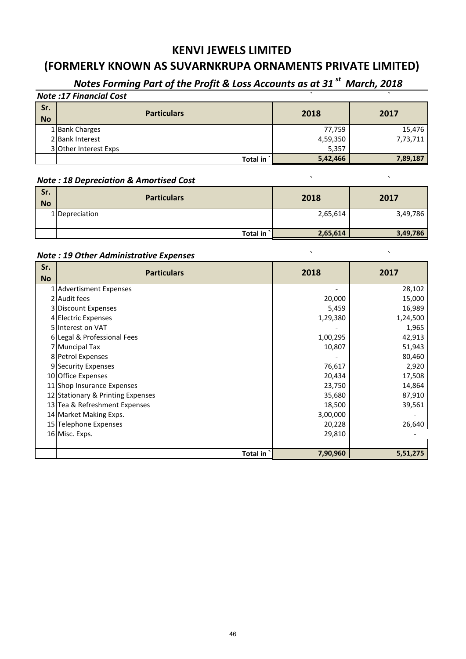# **(FORMERLY KNOWN AS SUVARNKRUPA ORNAMENTS PRIVATE LIMITED)**

# *Notes Forming Part of the Profit & Loss Accounts as at 31 st March, 2018*

|                  | <b>Note:17 Financial Cost</b> |          |          |
|------------------|-------------------------------|----------|----------|
| Sr.<br><b>No</b> | <b>Particulars</b>            | 2018     | 2017     |
|                  | 1 Bank Charges                | 77,759   | 15,476   |
|                  | 2 Bank Interest               | 4,59,350 | 7,73,711 |
|                  | 3 Other Interest Exps         | 5,357    |          |
|                  | <b>Total in</b>               | 5,42,466 | 7,89,187 |

# *Note : 18 Depreciation & Amortised Cost* ` `

| Sr.<br><b>No</b> | <b>Particulars</b> | 2018     | 2017     |
|------------------|--------------------|----------|----------|
|                  | 1 Depreciation     | 2,65,614 | 3,49,786 |
|                  | <b>Total in</b>    | 2,65,614 | 3,49,786 |

# **Note : 19 Other Administrative Expenses** *Note Administrative Expenses*

| Sr.<br><b>No</b> | <b>Particulars</b>                | 2018     | 2017     |
|------------------|-----------------------------------|----------|----------|
|                  | 1 Advertisment Expenses           |          | 28,102   |
|                  | 2 Audit fees                      | 20,000   | 15,000   |
|                  | 3 Discount Expenses               | 5,459    | 16,989   |
|                  | 4 Electric Expenses               | 1,29,380 | 1,24,500 |
|                  | 5 Interest on VAT                 |          | 1,965    |
|                  | 6 Legal & Professional Fees       | 1,00,295 | 42,913   |
|                  | 7 Muncipal Tax                    | 10,807   | 51,943   |
|                  | 8 Petrol Expenses                 |          | 80,460   |
|                  | 9 Security Expenses               | 76,617   | 2,920    |
|                  | 10 Office Expenses                | 20,434   | 17,508   |
|                  | 11 Shop Insurance Expenses        | 23,750   | 14,864   |
|                  | 12 Stationary & Printing Expenses | 35,680   | 87,910   |
|                  | 13 Tea & Refreshment Expenses     | 18,500   | 39,561   |
|                  | 14 Market Making Exps.            | 3,00,000 |          |
|                  | 15 Telephone Expenses             | 20,228   | 26,640   |
|                  | 16 Misc. Exps.                    | 29,810   |          |
|                  |                                   |          |          |
|                  | <b>Total in</b>                   | 7,90,960 | 5,51,275 |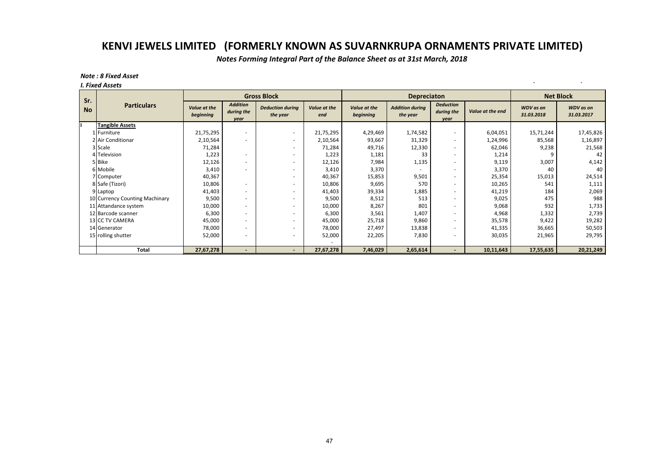# **KENVI JEWELS LIMITED (FORMERLY KNOWN AS SUVARNKRUPA ORNAMENTS PRIVATE LIMITED)**

*Notes Forming Integral Part of the Balance Sheet as at 31st March, 2018*

# *Note : 8 Fixed Asset*

#### *I. Fixed Assets* ` `

|                  | <b>Particulars</b>             | <b>Gross Block</b>        |                                       |                                     | <b>Depreciaton</b>  |                           |                                    |                                        | <b>Net Block</b> |                         |                                |
|------------------|--------------------------------|---------------------------|---------------------------------------|-------------------------------------|---------------------|---------------------------|------------------------------------|----------------------------------------|------------------|-------------------------|--------------------------------|
| Sr.<br><b>No</b> |                                | Value at the<br>beginning | <b>Addition</b><br>during the<br>year | <b>Deduction during</b><br>the year | Value at the<br>end | Value at the<br>beginning | <b>Addition during</b><br>the year | <b>Deduction</b><br>during the<br>year | Value at the end | WDV as on<br>31.03.2018 | <b>WDV</b> as on<br>31.03.2017 |
|                  | <b>Tangible Assets</b>         |                           |                                       |                                     |                     |                           |                                    |                                        |                  |                         |                                |
|                  | 1 Furniture                    | 21,75,295                 | $\overline{\phantom{a}}$              | ٠                                   | 21,75,295           | 4,29,469                  | 1,74,582                           | $\sim$                                 | 6,04,051         | 15,71,244               | 17,45,826                      |
|                  | 2 Air Conditionar              | 2,10,564                  | -                                     | ۰                                   | 2,10,564            | 93,667                    | 31,329                             | $\sim$                                 | 1,24,996         | 85,568                  | 1,16,897                       |
|                  | 3 Scale                        | 71,284                    |                                       | $\overline{\phantom{a}}$            | 71,284              | 49,716                    | 12,330                             |                                        | 62,046           | 9,238                   | 21,568                         |
|                  | 4 Television                   | 1,223                     | $\overline{\phantom{a}}$              | ٠                                   | 1,223               | 1,181                     | 33                                 | $\sim$                                 | 1,214            | q                       | 42                             |
|                  | 5 Bike                         | 12,126                    | ۰                                     | ٠                                   | 12,126              | 7,984                     | 1,135                              | $\sim$                                 | 9,119            | 3,007                   | 4,142                          |
|                  | 6 Mobile                       | 3,410                     |                                       |                                     | 3,410               | 3,370                     |                                    |                                        | 3,370            | 40                      | 40                             |
|                  | 7 Computer                     | 40,367                    |                                       | $\overline{\phantom{a}}$            | 40,367              | 15,853                    | 9,501                              | $\sim$                                 | 25,354           | 15,013                  | 24,514                         |
|                  | 8 Safe (Tizori)                | 10,806                    | ۰                                     | ۰                                   | 10,806              | 9,695                     | 570                                | $\sim$                                 | 10,265           | 541                     | 1,111                          |
|                  | 9 Laptop                       | 41,403                    | ۰                                     | $\overline{\phantom{a}}$            | 41,403              | 39,334                    | 1,885                              | $\sim$                                 | 41,219           | 184                     | 2,069                          |
|                  | 10 Currency Counting Machinary | 9,500                     | $\overline{\phantom{a}}$              | ٠                                   | 9,500               | 8,512                     | 513                                | $\sim$                                 | 9,025            | 475                     | 988                            |
|                  | 11 Attandance system           | 10,000                    | ۰                                     | ٠                                   | 10,000              | 8,267                     | 801                                | $\sim$                                 | 9,068            | 932                     | 1,733                          |
|                  | 12 Barcode scanner             | 6,300                     | $\overline{\phantom{a}}$              | $\overline{\phantom{a}}$            | 6,300               | 3,561                     | 1,407                              | $\sim$                                 | 4,968            | 1,332                   | 2,739                          |
|                  | 13 CC TV CAMERA                | 45,000                    | ۰                                     | $\overline{\phantom{a}}$            | 45,000              | 25,718                    | 9,860                              | $\sim$                                 | 35,578           | 9,422                   | 19,282                         |
|                  | 14 Generator                   | 78,000                    | ۰                                     | ۰                                   | 78,000              | 27,497                    | 13,838                             | $\sim$                                 | 41,335           | 36,665                  | 50,503                         |
|                  | 15 rolling shutter             | 52,000                    | ۰                                     | ٠                                   | 52,000              | 22,205                    | 7,830                              | $\overline{\phantom{a}}$               | 30,035           | 21,965                  | 29,795                         |
|                  |                                |                           |                                       |                                     |                     |                           |                                    |                                        |                  |                         |                                |
|                  | Total                          | 27,67,278                 | $\overline{\phantom{a}}$              | $\overline{\phantom{a}}$            | 27,67,278           | 7,46,029                  | 2,65,614                           | $\overline{\phantom{a}}$               | 10,11,643        | 17,55,635               | 20,21,249                      |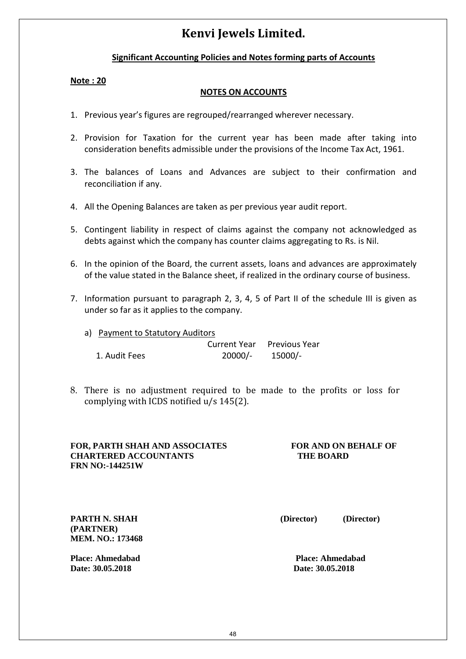# **Kenvi Jewels Limited.**

# **Significant Accounting Policies and Notes forming parts of Accounts**

# **Note : 20**

# **NOTES ON ACCOUNTS**

- 1. Previous year's figures are regrouped/rearranged wherever necessary.
- 2. Provision for Taxation for the current year has been made after taking into consideration benefits admissible under the provisions of the Income Tax Act, 1961.
- 3. The balances of Loans and Advances are subject to their confirmation and reconciliation if any.
- 4. All the Opening Balances are taken as per previous year audit report.
- 5. Contingent liability in respect of claims against the company not acknowledged as debts against which the company has counter claims aggregating to Rs. is Nil.
- 6. In the opinion of the Board, the current assets, loans and advances are approximately of the value stated in the Balance sheet, if realized in the ordinary course of business.
- 7. Information pursuant to paragraph 2, 3, 4, 5 of Part II of the schedule III is given as under so far as it applies to the company.

| a) Payment to Statutory Auditors |                   |                            |
|----------------------------------|-------------------|----------------------------|
|                                  |                   | Current Year Previous Year |
| 1. Audit Fees                    | $20000/-$ 15000/- |                            |

8. There is no adjustment required to be made to the profits or loss for complying with ICDS notified u/s 145(2).

#### **FOR, PARTH SHAH AND ASSOCIATES FOR AND ON BEHALF OF CHARTERED ACCOUNTANTS THE BOARD FRN NO:-144251W**

**(PARTNER) MEM. NO.: 173468** 

**PARTH N. SHAH (Director) (Director)** 

**Place: Ahmedabad Place: Ahmedabad Date: 30.05.2018 Date: 30.05.2018**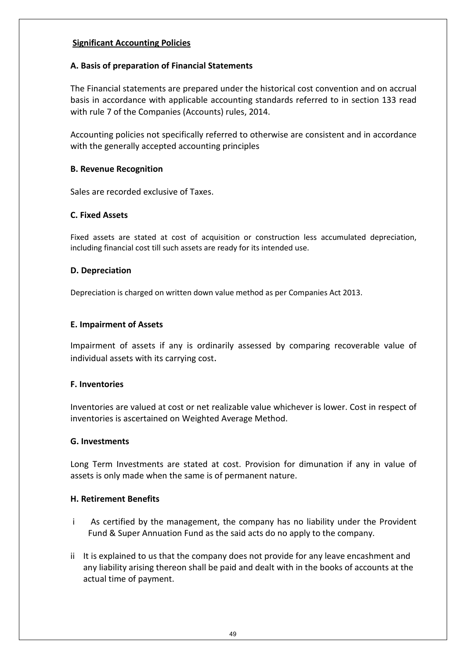# **Significant Accounting Policies**

# **A. Basis of preparation of Financial Statements**

The Financial statements are prepared under the historical cost convention and on accrual basis in accordance with applicable accounting standards referred to in section 133 read with rule 7 of the Companies (Accounts) rules, 2014.

Accounting policies not specifically referred to otherwise are consistent and in accordance with the generally accepted accounting principles

# **B. Revenue Recognition**

Sales are recorded exclusive of Taxes.

# **C. Fixed Assets**

Fixed assets are stated at cost of acquisition or construction less accumulated depreciation, including financial cost till such assets are ready for its intended use.

# **D. Depreciation**

Depreciation is charged on written down value method as per Companies Act 2013.

# **E. Impairment of Assets**

Impairment of assets if any is ordinarily assessed by comparing recoverable value of individual assets with its carrying cost.

# **F. Inventories**

Inventories are valued at cost or net realizable value whichever is lower. Cost in respect of inventories is ascertained on Weighted Average Method.

# **G. Investments**

Long Term Investments are stated at cost. Provision for dimunation if any in value of assets is only made when the same is of permanent nature.

# **H. Retirement Benefits**

- i As certified by the management, the company has no liability under the Provident Fund & Super Annuation Fund as the said acts do no apply to the company.
- ii It is explained to us that the company does not provide for any leave encashment and any liability arising thereon shall be paid and dealt with in the books of accounts at the actual time of payment.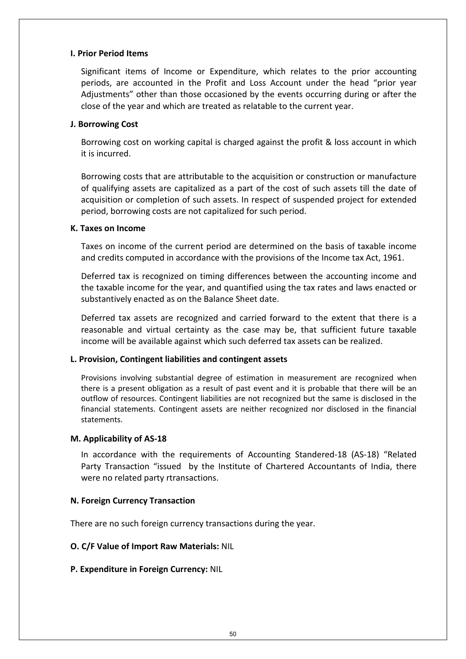# **I. Prior Period Items**

Significant items of Income or Expenditure, which relates to the prior accounting periods, are accounted in the Profit and Loss Account under the head "prior year Adjustments" other than those occasioned by the events occurring during or after the close of the year and which are treated as relatable to the current year.

# **J. Borrowing Cost**

Borrowing cost on working capital is charged against the profit & loss account in which it is incurred.

Borrowing costs that are attributable to the acquisition or construction or manufacture of qualifying assets are capitalized as a part of the cost of such assets till the date of acquisition or completion of such assets. In respect of suspended project for extended period, borrowing costs are not capitalized for such period.

# **K. Taxes on Income**

Taxes on income of the current period are determined on the basis of taxable income and credits computed in accordance with the provisions of the Income tax Act, 1961.

Deferred tax is recognized on timing differences between the accounting income and the taxable income for the year, and quantified using the tax rates and laws enacted or substantively enacted as on the Balance Sheet date.

Deferred tax assets are recognized and carried forward to the extent that there is a reasonable and virtual certainty as the case may be, that sufficient future taxable income will be available against which such deferred tax assets can be realized.

# **L. Provision, Contingent liabilities and contingent assets**

Provisions involving substantial degree of estimation in measurement are recognized when there is a present obligation as a result of past event and it is probable that there will be an outflow of resources. Contingent liabilities are not recognized but the same is disclosed in the financial statements. Contingent assets are neither recognized nor disclosed in the financial statements.

# **M. Applicability of AS-18**

In accordance with the requirements of Accounting Standered-18 (AS-18) "Related Party Transaction "issued by the Institute of Chartered Accountants of India, there were no related party rtransactions.

# **N. Foreign Currency Transaction**

There are no such foreign currency transactions during the year.

# **O. C/F Value of Import Raw Materials:** NIL

# **P. Expenditure in Foreign Currency:** NIL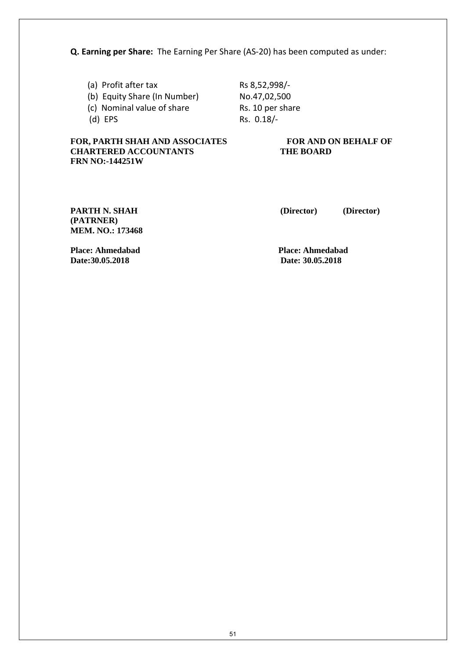# **Q. Earning per Share:** The Earning Per Share (AS-20) has been computed as under:

- (a) Profit after tax  $RS$ ,52,998/-
- (b) Equity Share (In Number) No.47,02,500
- (c) Nominal value of share Rs. 10 per share
- 

# FOR, PARTH SHAH AND ASSOCIATES **FOR AND ON BEHALF OF CHARTERED ACCOUNTANTS THE BOARD FRN NO:-144251W**

(d) EPS Rs. 0.18/-

**PARTH N. SHAH (Director)** (Director) (Director) **(PATRNER) MEM. NO.: 173468** 

Place: Ahmedabad **Place: Ahmedabad Place: Ahmedabad Place: Ahmedabad Place: Ahmedabad Place: Ahmedabad Place: Ahmedabad Place: Ahmedabad Place: Ahmedabad Place: Ahmedabad Place: Ahmedabad Place: Ahmedab** 

Date: 30.05.2018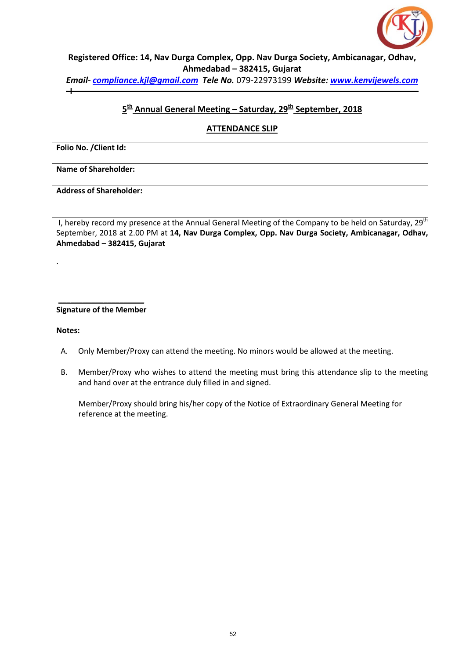

# **Registered Office: 14, Nav Durga Complex, Opp. Nav Durga Society, Ambicanagar, Odhav, Ahmedabad – 382415, Gujarat**

*Email- [compliance.kjl@gmail.com](mailto:compliance.kjl@gmail.com) Tele No.* 079-22973199 *Website: [www.kenvijewels.com](http://www.kenvijewels.com/)*

# **5th Annual General Meeting – Saturday, 29th September, 2018**

# **ATTENDANCE SLIP**

| Folio No. / Client Id:         |  |
|--------------------------------|--|
| <b>Name of Shareholder:</b>    |  |
| <b>Address of Shareholder:</b> |  |

I, hereby record my presence at the Annual General Meeting of the Company to be held on Saturday, 29<sup>th</sup> September, 2018 at 2.00 PM at **14, Nav Durga Complex, Opp. Nav Durga Society, Ambicanagar, Odhav, Ahmedabad – 382415, Gujarat**

#### **\_\_\_\_\_\_\_\_\_\_\_\_\_\_\_\_\_\_\_\_\_ Signature of the Member**

#### **Notes:**

.

 $\overline{\phantom{0}}$ 

- A. Only Member/Proxy can attend the meeting. No minors would be allowed at the meeting.
- B. Member/Proxy who wishes to attend the meeting must bring this attendance slip to the meeting and hand over at the entrance duly filled in and signed.

Member/Proxy should bring his/her copy of the Notice of Extraordinary General Meeting for reference at the meeting.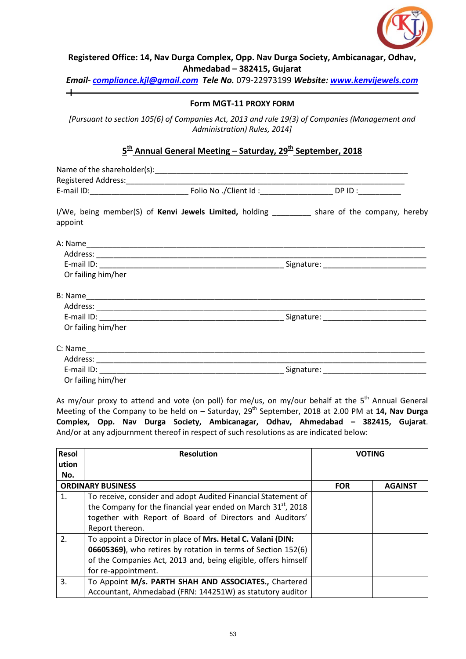

# **Registered Office: 14, Nav Durga Complex, Opp. Nav Durga Society, Ambicanagar, Odhav, Ahmedabad – 382415, Gujarat**

*Email- [compliance.kjl@gmail.com](mailto:compliance.kjl@gmail.com) Tele No.* 079-22973199 *Website: [www.kenvijewels.com](http://www.kenvijewels.com/)*

## **Form MGT-11 PROXY FORM**

 $\overline{\phantom{0}}$ 

*[Pursuant to section 105(6) of Companies Act, 2013 and rule 19(3) of Companies (Management and Administration) Rules, 2014]*

# **5th Annual General Meeting – Saturday, 29th September, 2018**

| appoint            |         | I/We, being member(S) of <b>Kenvi Jewels Limited,</b> holding _________ share of the company, hereby |  |
|--------------------|---------|------------------------------------------------------------------------------------------------------|--|
|                    | A: Name |                                                                                                      |  |
|                    |         |                                                                                                      |  |
|                    |         |                                                                                                      |  |
| Or failing him/her |         |                                                                                                      |  |
|                    |         |                                                                                                      |  |
|                    |         |                                                                                                      |  |
|                    |         |                                                                                                      |  |
| Or failing him/her |         |                                                                                                      |  |
|                    |         |                                                                                                      |  |
|                    |         |                                                                                                      |  |
|                    |         |                                                                                                      |  |
| Or failing him/her |         |                                                                                                      |  |

As my/our proxy to attend and vote (on poll) for me/us, on my/our behalf at the  $5<sup>th</sup>$  Annual General Meeting of the Company to be held on – Saturday, 29<sup>th</sup> September, 2018 at 2.00 PM at 14, Nav Durga **Complex, Opp. Nav Durga Society, Ambicanagar, Odhav, Ahmedabad – 382415, Gujarat**. And/or at any adjournment thereof in respect of such resolutions as are indicated below:

| Resol | <b>Resolution</b>                                                         | <b>VOTING</b> |                |
|-------|---------------------------------------------------------------------------|---------------|----------------|
| ution |                                                                           |               |                |
| No.   |                                                                           |               |                |
|       | <b>ORDINARY BUSINESS</b>                                                  | <b>FOR</b>    | <b>AGAINST</b> |
| 1.    | To receive, consider and adopt Audited Financial Statement of             |               |                |
|       | the Company for the financial year ended on March 31 <sup>st</sup> , 2018 |               |                |
|       | together with Report of Board of Directors and Auditors'                  |               |                |
|       | Report thereon.                                                           |               |                |
| 2.    | To appoint a Director in place of Mrs. Hetal C. Valani (DIN:              |               |                |
|       | 06605369), who retires by rotation in terms of Section 152(6)             |               |                |
|       | of the Companies Act, 2013 and, being eligible, offers himself            |               |                |
|       | for re-appointment.                                                       |               |                |
| 3.    | To Appoint M/s. PARTH SHAH AND ASSOCIATES., Chartered                     |               |                |
|       | Accountant, Ahmedabad (FRN: 144251W) as statutory auditor                 |               |                |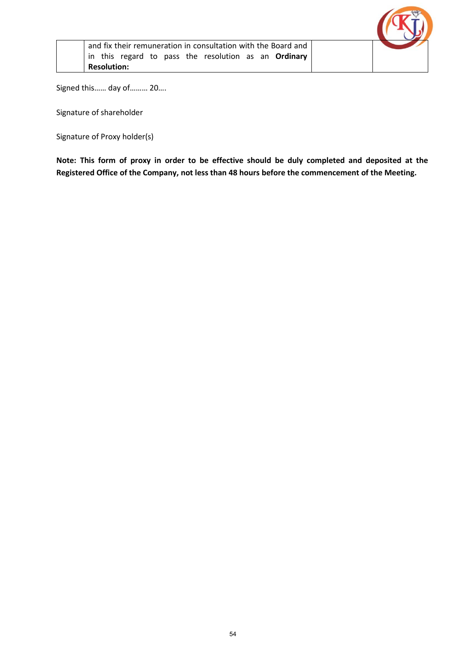and fix their remuneration in consultation with the Board and in this regard to pass the resolution as an **Ordinary Resolution:** 



Signed this…… day of……… 20….

Signature of shareholder

Signature of Proxy holder(s)

**Note: This form of proxy in order to be effective should be duly completed and deposited at the Registered Office of the Company, not less than 48 hours before the commencement of the Meeting.**